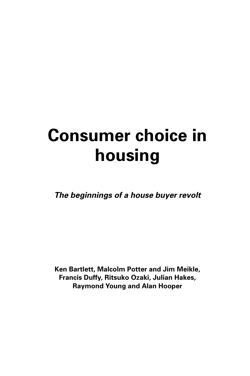# **Consumer choice in housing**

**The beginnings of a house buyer revolt**

**Ken Bartlett, Malcolm Potter and Jim Meikle, Francis Duffy, Ritsuko Ozaki, Julian Hakes, Raymond Young and Alan Hooper**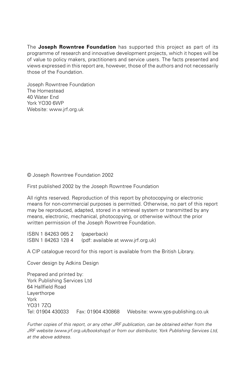The **Joseph Rowntree Foundation** has supported this project as part of its programme of research and innovative development projects, which it hopes will be of value to policy makers, practitioners and service users. The facts presented and views expressed in this report are, however, those of the authors and not necessarily those of the Foundation.

Joseph Rowntree Foundation The Homestead 40 Water End York YO30 6WP Website: www.jrf.org.uk

© Joseph Rowntree Foundation 2002

First published 2002 by the Joseph Rowntree Foundation

All rights reserved. Reproduction of this report by photocopying or electronic means for non-commercial purposes is permitted. Otherwise, no part of this report may be reproduced, adapted, stored in a retrieval system or transmitted by any means, electronic, mechanical, photocopying, or otherwise without the prior written permission of the Joseph Rowntree Foundation.

ISBN 1 84263 065 2 (paperback) ISBN 1 84263 128 4 (pdf: available at www.jrf.org.uk)

A CIP catalogue record for this report is available from the British Library.

Cover design by Adkins Design

Prepared and printed by: York Publishing Services Ltd 64 Hallfield Road **Laverthorpe** York YO31 7ZQ Tel: 01904 430033 Fax: 01904 430868 Website: www.yps-publishing.co.uk

Further copies of this report, or any other JRF publication, can be obtained either from the JRF website (www.jrf.org.uk/bookshop/) or from our distributor, York Publishing Services Ltd, at the above address.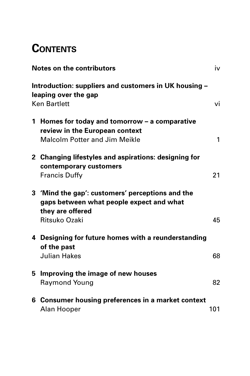# **CONTENTS**

|   | <b>Notes on the contributors</b>                                                                                                  | iv  |
|---|-----------------------------------------------------------------------------------------------------------------------------------|-----|
|   | Introduction: suppliers and customers in UK housing -<br>leaping over the gap<br><b>Ken Bartlett</b>                              | vi  |
|   | 1 Homes for today and tomorrow – a comparative<br>review in the European context<br><b>Malcolm Potter and Jim Meikle</b>          | 1   |
|   | 2 Changing lifestyles and aspirations: designing for<br>contemporary customers<br><b>Francis Duffy</b>                            | 21  |
|   | 3 'Mind the gap': customers' perceptions and the<br>gaps between what people expect and what<br>they are offered<br>Ritsuko Ozaki | 45  |
|   | 4 Designing for future homes with a reunderstanding<br>of the past<br><b>Julian Hakes</b>                                         | 68  |
| 5 | Improving the image of new houses<br><b>Raymond Young</b>                                                                         | 82  |
|   | 6 Consumer housing preferences in a market context<br>Alan Hooper                                                                 | 101 |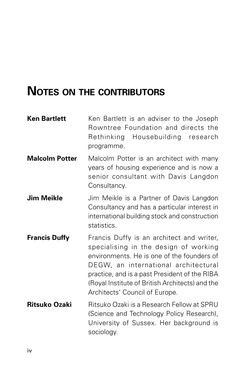# **NOTES ON THE CONTRIBUTORS**

| <b>Ken Bartlett</b>   | Ken Bartlett is an adviser to the Joseph<br>Rowntree Foundation and directs the<br>Rethinking Housebuilding research<br>programme.                                                                                                                                                                             |
|-----------------------|----------------------------------------------------------------------------------------------------------------------------------------------------------------------------------------------------------------------------------------------------------------------------------------------------------------|
| <b>Malcolm Potter</b> | Malcolm Potter is an architect with many<br>years of housing experience and is now a<br>senior consultant with Davis Langdon<br>Consultancy.                                                                                                                                                                   |
| <b>Jim Meikle</b>     | Jim Meikle is a Partner of Davis Langdon<br>Consultancy and has a particular interest in<br>international building stock and construction<br>statistics.                                                                                                                                                       |
| <b>Francis Duffy</b>  | Francis Duffy is an architect and writer,<br>specialising in the design of working<br>environments. He is one of the founders of<br>DEGW, an international architectural<br>practice, and is a past President of the RIBA<br>(Royal Institute of British Architects) and the<br>Architects' Council of Europe. |
| <b>Ritsuko Ozaki</b>  | Ritsuko Ozaki is a Research Fellow at SPRU<br>(Science and Technology Policy Research),<br>University of Sussex. Her background is<br>sociology.                                                                                                                                                               |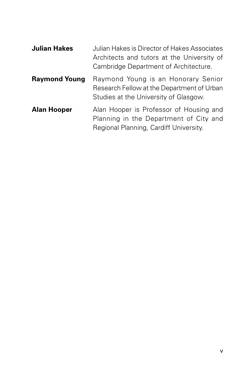| <b>Julian Hakes</b>  | Julian Hakes is Director of Hakes Associates<br>Architects and tutors at the University of<br>Cambridge Department of Architecture. |
|----------------------|-------------------------------------------------------------------------------------------------------------------------------------|
| <b>Raymond Young</b> | Raymond Young is an Honorary Senior<br>Research Fellow at the Department of Urban<br>Studies at the University of Glasgow.          |
| <b>Alan Hooper</b>   | Alan Hooper is Professor of Housing and<br>Planning in the Department of City and<br>Regional Planning, Cardiff University.         |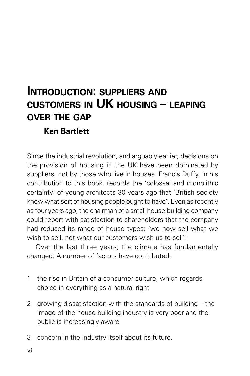# **INTRODUCTION: SUPPLIERS AND CUSTOMERS IN UK HOUSING – LEAPING OVER THE GAP Ken Bartlett**

Since the industrial revolution, and arguably earlier, decisions on the provision of housing in the UK have been dominated by suppliers, not by those who live in houses. Francis Duffy, in his contribution to this book, records the 'colossal and monolithic certainty' of young architects 30 years ago that 'British society knew what sort of housing people ought to have'. Even as recently as four years ago, the chairman of a small house-building company could report with satisfaction to shareholders that the company had reduced its range of house types: 'we now sell what we wish to sell, not what our customers wish us to sell'!

Over the last three years, the climate has fundamentally changed. A number of factors have contributed:

- 1 the rise in Britain of a consumer culture, which regards choice in everything as a natural right
- 2 growing dissatisfaction with the standards of building the image of the house-building industry is very poor and the public is increasingly aware
- 3 concern in the industry itself about its future.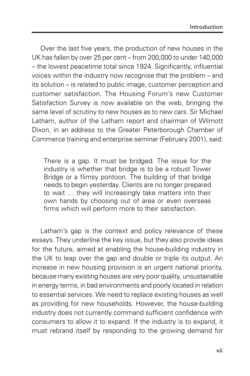Over the last five years, the production of new houses in the UK has fallen by over 25 per cent – from 200,000 to under 140,000 – the lowest peacetime total since 1924. Significantly, influential voices within the industry now recognise that the problem – and its solution – is related to public image, customer perception and customer satisfaction. The Housing Forum's new Customer Satisfaction Survey is now available on the web, bringing the same level of scrutiny to new houses as to new cars. Sir Michael Latham, author of the Latham report and chairman of Wilmott Dixon, in an address to the Greater Peterborough Chamber of Commerce training and enterprise seminar (February 2001), said:

There is a gap. It must be bridged. The issue for the industry is whether that bridge is to be a robust Tower Bridge or a flimsy pontoon. The building of that bridge needs to begin yesterday. Clients are no longer prepared to wait … they will increasingly take matters into their own hands by choosing out of area or even overseas firms which will perform more to their satisfaction.

Latham's gap is the context and policy relevance of these essays. They underline the key issue, but they also provide ideas for the future, aimed at enabling the house-building industry in the UK to leap over the gap and double or triple its output. An increase in new housing provision is an urgent national priority, because many existing houses are very poor quality, unsustainable in energy terms, in bad environments and poorly located in relation to essential services. We need to replace existing houses as well as providing for new households. However, the house-building industry does not currently command sufficient confidence with consumers to allow it to expand. If the industry is to expand, it must rebrand itself by responding to the growing demand for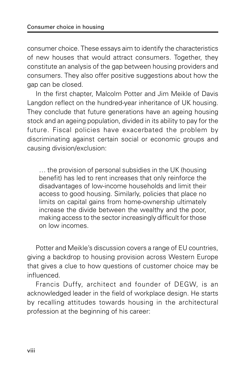consumer choice. These essays aim to identify the characteristics of new houses that would attract consumers. Together, they constitute an analysis of the gap between housing providers and consumers. They also offer positive suggestions about how the gap can be closed.

In the first chapter, Malcolm Potter and Jim Meikle of Davis Langdon reflect on the hundred-year inheritance of UK housing. They conclude that future generations have an ageing housing stock and an ageing population, divided in its ability to pay for the future. Fiscal policies have exacerbated the problem by discriminating against certain social or economic groups and causing division/exclusion:

… the provision of personal subsidies in the UK (housing benefit) has led to rent increases that only reinforce the disadvantages of low-income households and limit their access to good housing. Similarly, policies that place no limits on capital gains from home-ownership ultimately increase the divide between the wealthy and the poor, making access to the sector increasingly difficult for those on low incomes.

Potter and Meikle's discussion covers a range of EU countries, giving a backdrop to housing provision across Western Europe that gives a clue to how questions of customer choice may be influenced.

Francis Duffy, architect and founder of DEGW, is an acknowledged leader in the field of workplace design. He starts by recalling attitudes towards housing in the architectural profession at the beginning of his career: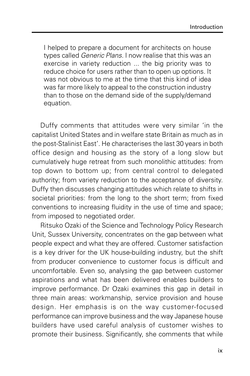I helped to prepare a document for architects on house types called Generic Plans. I now realise that this was an exercise in variety reduction ... the big priority was to reduce choice for users rather than to open up options. It was not obvious to me at the time that this kind of idea was far more likely to appeal to the construction industry than to those on the demand side of the supply/demand equation.

Duffy comments that attitudes were very similar 'in the capitalist United States and in welfare state Britain as much as in the post-Stalinist East'. He characterises the last 30 years in both office design and housing as the story of a long slow but cumulatively huge retreat from such monolithic attitudes: from top down to bottom up; from central control to delegated authority; from variety reduction to the acceptance of diversity. Duffy then discusses changing attitudes which relate to shifts in societal priorities: from the long to the short term; from fixed conventions to increasing fluidity in the use of time and space; from imposed to negotiated order.

Ritsuko Ozaki of the Science and Technology Policy Research Unit, Sussex University, concentrates on the gap between what people expect and what they are offered. Customer satisfaction is a key driver for the UK house-building industry, but the shift from producer convenience to customer focus is difficult and uncomfortable. Even so, analysing the gap between customer aspirations and what has been delivered enables builders to improve performance. Dr Ozaki examines this gap in detail in three main areas: workmanship, service provision and house design. Her emphasis is on the way customer-focused performance can improve business and the way Japanese house builders have used careful analysis of customer wishes to promote their business. Significantly, she comments that while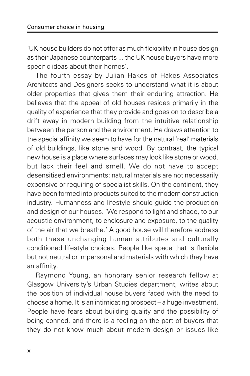'UK house builders do not offer as much flexibility in house design as their Japanese counterparts ... the UK house buyers have more specific ideas about their homes'.

The fourth essay by Julian Hakes of Hakes Associates Architects and Designers seeks to understand what it is about older properties that gives them their enduring attraction. He believes that the appeal of old houses resides primarily in the quality of experience that they provide and goes on to describe a drift away in modern building from the intuitive relationship between the person and the environment. He draws attention to the special affinity we seem to have for the natural 'real' materials of old buildings, like stone and wood. By contrast, the typical new house is a place where surfaces may look like stone or wood, but lack their feel and smell. We do not have to accept desensitised environments; natural materials are not necessarily expensive or requiring of specialist skills. On the continent, they have been formed into products suited to the modern construction industry. Humanness and lifestyle should guide the production and design of our houses. 'We respond to light and shade, to our acoustic environment, to enclosure and exposure, to the quality of the air that we breathe.' A good house will therefore address both these unchanging human attributes and culturally conditioned lifestyle choices. People like space that is flexible but not neutral or impersonal and materials with which they have an affinity.

Raymond Young, an honorary senior research fellow at Glasgow University's Urban Studies department, writes about the position of individual house buyers faced with the need to choose a home. It is an intimidating prospect – a huge investment. People have fears about building quality and the possibility of being conned, and there is a feeling on the part of buyers that they do not know much about modern design or issues like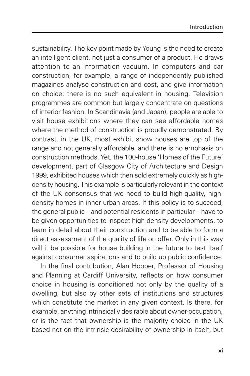sustainability. The key point made by Young is the need to create an intelligent client, not just a consumer of a product. He draws attention to an information vacuum. In computers and car construction, for example, a range of independently published magazines analyse construction and cost, and give information on choice; there is no such equivalent in housing. Television programmes are common but largely concentrate on questions of interior fashion. In Scandinavia (and Japan), people are able to visit house exhibitions where they can see affordable homes where the method of construction is proudly demonstrated. By contrast, in the UK, most exhibit show houses are top of the range and not generally affordable, and there is no emphasis on construction methods. Yet, the 100-house 'Homes of the Future' development, part of Glasgow City of Architecture and Design 1999, exhibited houses which then sold extremely quickly as highdensity housing. This example is particularly relevant in the context of the UK consensus that we need to build high-quality, highdensity homes in inner urban areas. If this policy is to succeed, the general public – and potential residents in particular – have to be given opportunities to inspect high-density developments, to learn in detail about their construction and to be able to form a direct assessment of the quality of life on offer. Only in this way will it be possible for house building in the future to test itself against consumer aspirations and to build up public confidence.

In the final contribution, Alan Hooper, Professor of Housing and Planning at Cardiff University, reflects on how consumer choice in housing is conditioned not only by the quality of a dwelling, but also by other sets of institutions and structures which constitute the market in any given context. Is there, for example, anything intrinsically desirable about owner-occupation, or is the fact that ownership is the majority choice in the UK based not on the intrinsic desirability of ownership in itself, but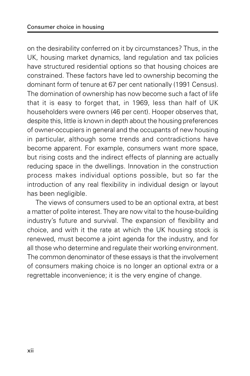on the desirability conferred on it by circumstances? Thus, in the UK, housing market dynamics, land regulation and tax policies have structured residential options so that housing choices are constrained. These factors have led to ownership becoming the dominant form of tenure at 67 per cent nationally (1991 Census). The domination of ownership has now become such a fact of life that it is easy to forget that, in 1969, less than half of UK householders were owners (46 per cent). Hooper observes that, despite this, little is known in depth about the housing preferences of owner-occupiers in general and the occupants of new housing in particular, although some trends and contradictions have become apparent. For example, consumers want more space, but rising costs and the indirect effects of planning are actually reducing space in the dwellings. Innovation in the construction process makes individual options possible, but so far the introduction of any real flexibility in individual design or layout has been negligible.

The views of consumers used to be an optional extra, at best a matter of polite interest. They are now vital to the house-building industry's future and survival. The expansion of flexibility and choice, and with it the rate at which the UK housing stock is renewed, must become a joint agenda for the industry, and for all those who determine and regulate their working environment. The common denominator of these essays is that the involvement of consumers making choice is no longer an optional extra or a regrettable inconvenience; it is the very engine of change.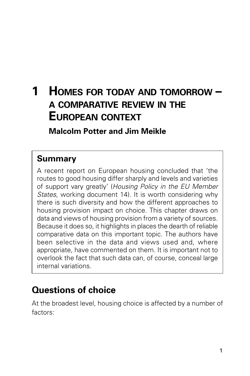# **1 HOMES FOR TODAY AND TOMORROW – A COMPARATIVE REVIEW IN THE EUROPEAN CONTEXT**

**Malcolm Potter and Jim Meikle**

## **Summary**

A recent report on European housing concluded that 'the routes to good housing differ sharply and levels and varieties of support vary greatly' (Housing Policy in the EU Member States, working document 14). It is worth considering why there is such diversity and how the different approaches to housing provision impact on choice. This chapter draws on data and views of housing provision from a variety of sources. Because it does so, it highlights in places the dearth of reliable comparative data on this important topic. The authors have been selective in the data and views used and, where appropriate, have commented on them. It is important not to overlook the fact that such data can, of course, conceal large internal variations.

# **Questions of choice**

At the broadest level, housing choice is affected by a number of factors: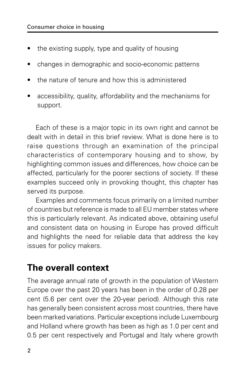- the existing supply, type and quality of housing
- changes in demographic and socio-economic patterns
- the nature of tenure and how this is administered
- accessibility, quality, affordability and the mechanisms for support.

Each of these is a major topic in its own right and cannot be dealt with in detail in this brief review. What is done here is to raise questions through an examination of the principal characteristics of contemporary housing and to show, by highlighting common issues and differences, how choice can be affected, particularly for the poorer sections of society. If these examples succeed only in provoking thought, this chapter has served its purpose.

Examples and comments focus primarily on a limited number of countries but reference is made to all EU member states where this is particularly relevant. As indicated above, obtaining useful and consistent data on housing in Europe has proved difficult and highlights the need for reliable data that address the key issues for policy makers.

### **The overall context**

The average annual rate of growth in the population of Western Europe over the past 20 years has been in the order of 0.28 per cent (5.6 per cent over the 20-year period). Although this rate has generally been consistent across most countries, there have been marked variations. Particular exceptions include Luxembourg and Holland where growth has been as high as 1.0 per cent and 0.5 per cent respectively and Portugal and Italy where growth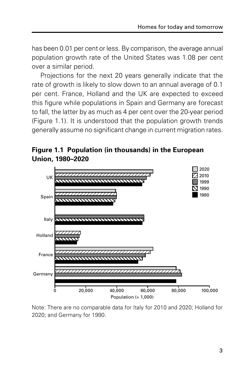has been 0.01 per cent or less. By comparison, the average annual population growth rate of the United States was 1.08 per cent over a similar period.

Projections for the next 20 years generally indicate that the rate of growth is likely to slow down to an annual average of 0.1 per cent. France, Holland and the UK are expected to exceed this figure while populations in Spain and Germany are forecast to fall, the latter by as much as 4 per cent over the 20-year period (Figure 1.1). It is understood that the population growth trends generally assume no significant change in current migration rates.





Note: There are no comparable data for Italy for 2010 and 2020; Holland for 2020; and Germany for 1990.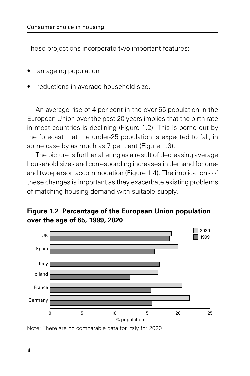These projections incorporate two important features:

- an ageing population
- reductions in average household size.

An average rise of 4 per cent in the over-65 population in the European Union over the past 20 years implies that the birth rate in most countries is declining (Figure 1.2). This is borne out by the forecast that the under-25 population is expected to fall, in some case by as much as 7 per cent (Figure 1.3).

The picture is further altering as a result of decreasing average household sizes and corresponding increases in demand for oneand two-person accommodation (Figure 1.4). The implications of these changes is important as they exacerbate existing problems of matching housing demand with suitable supply.





Note: There are no comparable data for Italy for 2020.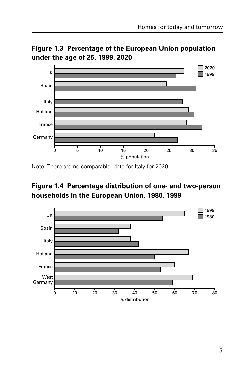

**Figure 1.3 Percentage of the European Union population under the age of 25, 1999, 2020**

Note: There are no comparable data for Italy for 2020.

#### **Figure 1.4 Percentage distribution of one- and two-person households in the European Union, 1980, 1999**

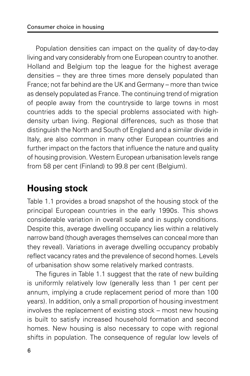Population densities can impact on the quality of day-to-day living and vary considerably from one European country to another. Holland and Belgium top the league for the highest average densities – they are three times more densely populated than France; not far behind are the UK and Germany – more than twice as densely populated as France. The continuing trend of migration of people away from the countryside to large towns in most countries adds to the special problems associated with highdensity urban living. Regional differences, such as those that distinguish the North and South of England and a similar divide in Italy, are also common in many other European countries and further impact on the factors that influence the nature and quality of housing provision. Western European urbanisation levels range from 58 per cent (Finland) to 99.8 per cent (Belgium).

# **Housing stock**

Table 1.1 provides a broad snapshot of the housing stock of the principal European countries in the early 1990s. This shows considerable variation in overall scale and in supply conditions. Despite this, average dwelling occupancy lies within a relatively narrow band (though averages themselves can conceal more than they reveal). Variations in average dwelling occupancy probably reflect vacancy rates and the prevalence of second homes. Levels of urbanisation show some relatively marked contrasts.

The figures in Table 1.1 suggest that the rate of new building is uniformly relatively low (generally less than 1 per cent per annum, implying a crude replacement period of more than 100 years). In addition, only a small proportion of housing investment involves the replacement of existing stock – most new housing is built to satisfy increased household formation and second homes. New housing is also necessary to cope with regional shifts in population. The consequence of regular low levels of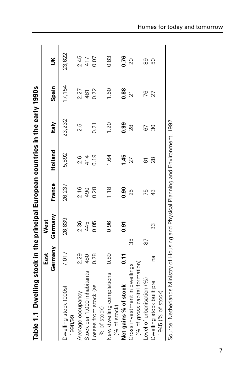| Table 1.1 Dwelling stock in the principal European countries in the early 1990s     |         |         |        |               |              |                |           |
|-------------------------------------------------------------------------------------|---------|---------|--------|---------------|--------------|----------------|-----------|
|                                                                                     | East    | West    |        |               |              |                |           |
|                                                                                     | Germany | Germany | France | Holland       | <b>Italy</b> | Spain          | š         |
| Dwelling stock (000s)<br>1998/99                                                    | 7,017   | 26,839  | 26,237 | 5,892         | 23,232       | 17,154         | 23,622    |
| Average occupancy                                                                   | 2.29    | 2.36    | 2.16   | $\frac{6}{2}$ | 2.5          | 2.27           | 2.45      |
| Stock per 1,000 inhabitants                                                         | 480     | 445     | 490    | 414           |              | 481            | 417       |
| Losses from stock (as<br>% of stock)                                                | 0.78    | 0.05    | 0.28   | 0.19          | 0.21         | 0.72           | 0.07      |
| New dwelling completions<br>(% of stock)                                            | 0.89    | 0.96    | 1.18   | 1.64          | 1.20         | 1.60           | 0.83      |
| Net gains % of stock                                                                | 0.11    | 0.91    | 0.90   | 1.45          | 0.99         | 0.88           | 0.76      |
| Gross investment in dwellings                                                       |         | 35      | 25     | 27            | 28           | $\overline{2}$ | 20        |
| (% of gross capital formation)                                                      |         |         |        |               |              |                |           |
| Level of urbanisation (%)                                                           |         | 87      | 75     | 61            | 67           | 76             | 88        |
| Dwelling stock built pre                                                            | Dд      | 33      | 43     | 28            | 80           | 27             | <b>DG</b> |
| 1945 (% of stock)                                                                   |         |         |        |               |              |                |           |
| Source: Netherlands Ministry of Housing and Physical Planning and Environment, 1992 |         |         |        |               |              |                |           |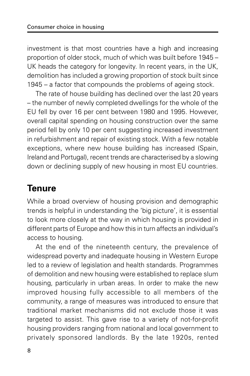investment is that most countries have a high and increasing proportion of older stock, much of which was built before 1945 – UK heads the category for longevity. In recent years, in the UK, demolition has included a growing proportion of stock built since 1945 – a factor that compounds the problems of ageing stock.

The rate of house building has declined over the last 20 years – the number of newly completed dwellings for the whole of the EU fell by over 16 per cent between 1980 and 1995. However, overall capital spending on housing construction over the same period fell by only 10 per cent suggesting increased investment in refurbishment and repair of existing stock. With a few notable exceptions, where new house building has increased (Spain, Ireland and Portugal), recent trends are characterised by a slowing down or declining supply of new housing in most EU countries.

# **Tenure**

While a broad overview of housing provision and demographic trends is helpful in understanding the 'big picture', it is essential to look more closely at the way in which housing is provided in different parts of Europe and how this in turn affects an individual's access to housing.

At the end of the nineteenth century, the prevalence of widespread poverty and inadequate housing in Western Europe led to a review of legislation and health standards. Programmes of demolition and new housing were established to replace slum housing, particularly in urban areas. In order to make the new improved housing fully accessible to all members of the community, a range of measures was introduced to ensure that traditional market mechanisms did not exclude those it was targeted to assist. This gave rise to a variety of not-for-profit housing providers ranging from national and local government to privately sponsored landlords. By the late 1920s, rented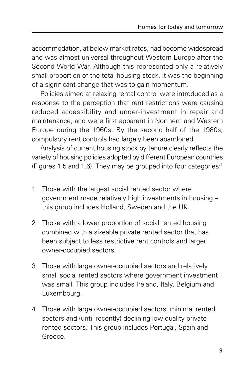accommodation, at below market rates, had become widespread and was almost universal throughout Western Europe after the Second World War. Although this represented only a relatively small proportion of the total housing stock, it was the beginning of a significant change that was to gain momentum.

Policies aimed at relaxing rental control were introduced as a response to the perception that rent restrictions were causing reduced accessibility and under-investment in repair and maintenance, and were first apparent in Northern and Western Europe during the 1960s. By the second half of the 1980s, compulsory rent controls had largely been abandoned.

Analysis of current housing stock by tenure clearly reflects the variety of housing policies adopted by different European countries (Figures 1.5 and 1.6). They may be grouped into four categories: $1$ 

- 1 Those with the largest social rented sector where government made relatively high investments in housing – this group includes Holland, Sweden and the UK.
- 2 Those with a lower proportion of social rented housing combined with a sizeable private rented sector that has been subject to less restrictive rent controls and larger owner-occupied sectors.
- 3 Those with large owner-occupied sectors and relatively small social rented sectors where government investment was small. This group includes Ireland, Italy, Belgium and Luxembourg.
- 4 Those with large owner-occupied sectors, minimal rented sectors and (until recently) declining low quality private rented sectors. This group includes Portugal, Spain and Greece.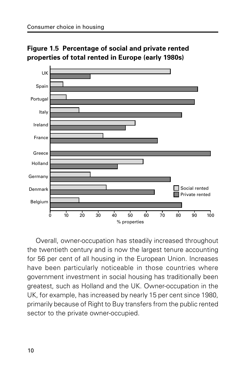

**Figure 1.5 Percentage of social and private rented properties of total rented in Europe (early 1980s)**

Overall, owner-occupation has steadily increased throughout the twentieth century and is now the largest tenure accounting for 56 per cent of all housing in the European Union. Increases have been particularly noticeable in those countries where government investment in social housing has traditionally been greatest, such as Holland and the UK. Owner-occupation in the UK, for example, has increased by nearly 15 per cent since 1980, primarily because of Right to Buy transfers from the public rented sector to the private owner-occupied.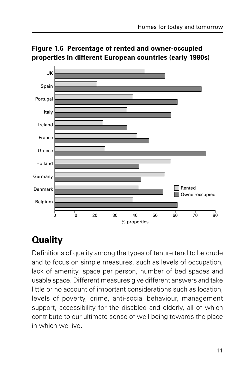

**Figure 1.6 Percentage of rented and owner-occupied properties in different European countries (early 1980s)**

# **Quality**

Definitions of quality among the types of tenure tend to be crude and to focus on simple measures, such as levels of occupation, lack of amenity, space per person, number of bed spaces and usable space. Different measures give different answers and take little or no account of important considerations such as location, levels of poverty, crime, anti-social behaviour, management support, accessibility for the disabled and elderly, all of which contribute to our ultimate sense of well-being towards the place in which we live.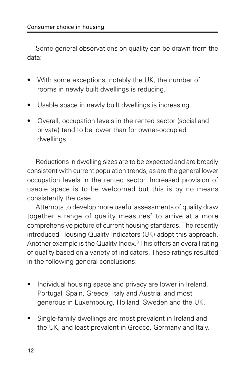Some general observations on quality can be drawn from the data:

- With some exceptions, notably the UK, the number of rooms in newly built dwellings is reducing.
- Usable space in newly built dwellings is increasing.
- Overall, occupation levels in the rented sector (social and private) tend to be lower than for owner-occupied dwellings.

Reductions in dwelling sizes are to be expected and are broadly consistent with current population trends, as are the general lower occupation levels in the rented sector. Increased provision of usable space is to be welcomed but this is by no means consistently the case.

Attempts to develop more useful assessments of quality draw together a range of quality measures<sup>2</sup> to arrive at a more comprehensive picture of current housing standards. The recently introduced Housing Quality Indicators (UK) adopt this approach. Another example is the Quality Index.3 This offers an overall rating of quality based on a variety of indicators. These ratings resulted in the following general conclusions:

- Individual housing space and privacy are lower in Ireland, Portugal, Spain, Greece, Italy and Austria, and most generous in Luxembourg, Holland, Sweden and the UK.
- Single-family dwellings are most prevalent in Ireland and the UK, and least prevalent in Greece, Germany and Italy.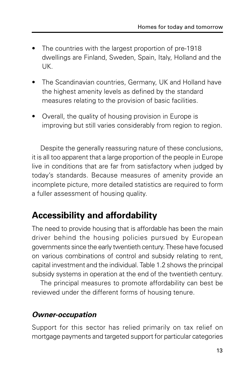- The countries with the largest proportion of pre-1918 dwellings are Finland, Sweden, Spain, Italy, Holland and the UK.
- The Scandinavian countries, Germany, UK and Holland have the highest amenity levels as defined by the standard measures relating to the provision of basic facilities.
- Overall, the quality of housing provision in Europe is improving but still varies considerably from region to region.

Despite the generally reassuring nature of these conclusions, it is all too apparent that a large proportion of the people in Europe live in conditions that are far from satisfactory when judged by today's standards. Because measures of amenity provide an incomplete picture, more detailed statistics are required to form a fuller assessment of housing quality.

# **Accessibility and affordability**

The need to provide housing that is affordable has been the main driver behind the housing policies pursued by European governments since the early twentieth century. These have focused on various combinations of control and subsidy relating to rent, capital investment and the individual. Table 1.2 shows the principal subsidy systems in operation at the end of the twentieth century.

The principal measures to promote affordability can best be reviewed under the different forms of housing tenure.

#### **Owner-occupation**

Support for this sector has relied primarily on tax relief on mortgage payments and targeted support for particular categories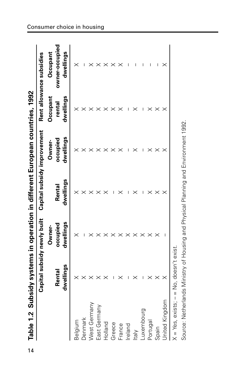| Table 1.2 Sub           |                       |                             |           | sidy systems in operation in different European countries, 1992 |                    |                            |
|-------------------------|-----------------------|-----------------------------|-----------|-----------------------------------------------------------------|--------------------|----------------------------|
|                         |                       | Capital subsidy newly built |           | Capital subsidy improvement                                     |                    | Rent allowance subsidies   |
|                         | Renta                 | occupied<br>Owner-          | Rental    | occupied<br>Owner-                                              | Occupant<br>rental | owner-occupiec<br>Occupant |
|                         | dwellings             | dwellings                   | dwellings | dwellings                                                       | dwellings          | dwellings                  |
| Belgium                 |                       |                             |           |                                                                 |                    |                            |
|                         |                       |                             |           |                                                                 |                    |                            |
| Denmark<br>West Germany |                       |                             |           |                                                                 |                    |                            |
| East Germany            |                       |                             |           |                                                                 |                    |                            |
| Holland                 |                       |                             |           |                                                                 |                    |                            |
| Greece                  |                       |                             |           |                                                                 |                    |                            |
| France                  |                       |                             |           |                                                                 |                    |                            |
| Ireland                 |                       |                             |           |                                                                 |                    |                            |
| ltaly                   |                       |                             |           |                                                                 |                    |                            |
| Luxembourg              |                       |                             |           |                                                                 |                    |                            |
| Portugal                |                       |                             |           |                                                                 |                    |                            |
| Spain                   |                       |                             |           |                                                                 |                    | I                          |
| <b>Jnited Kingdom</b>   |                       |                             |           |                                                                 |                    |                            |
| $X = Yes$ , exists; $-$ | $=$ No, doesn't exist |                             |           |                                                                 |                    |                            |

Source: Netherlands Ministry of Housing and Physical Planning and Environment 1992.

Source: Netherlands Ministry of Housing and Physical Planning and Environment 1992.

Consumer choice in housing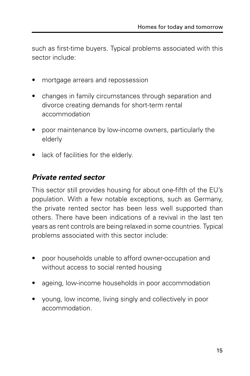such as first-time buyers. Typical problems associated with this sector include:

- mortgage arrears and repossession
- changes in family circumstances through separation and divorce creating demands for short-term rental accommodation
- poor maintenance by low-income owners, particularly the elderly
- lack of facilities for the elderly.

#### **Private rented sector**

This sector still provides housing for about one-fifth of the EU's population. With a few notable exceptions, such as Germany, the private rented sector has been less well supported than others. There have been indications of a revival in the last ten years as rent controls are being relaxed in some countries. Typical problems associated with this sector include:

- poor households unable to afford owner-occupation and without access to social rented housing
- ageing, low-income households in poor accommodation
- young, low income, living singly and collectively in poor accommodation.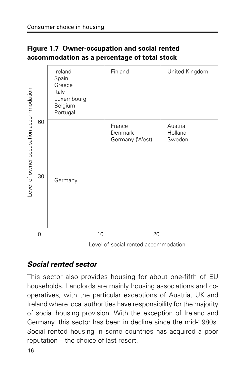#### **Figure 1.7 Owner-occupation and social rented accommodation as a percentage of total stock**

| United Kingdom                              |
|---------------------------------------------|
| Austria<br>Holland<br>Sweden                |
|                                             |
| l avel et sessiel sented sessences seletien |
|                                             |

Level of social rented accommodation

#### **Social rented sector**

This sector also provides housing for about one-fifth of EU households. Landlords are mainly housing associations and cooperatives, with the particular exceptions of Austria, UK and Ireland where local authorities have responsibility for the majority of social housing provision. With the exception of Ireland and Germany, this sector has been in decline since the mid-1980s. Social rented housing in some countries has acquired a poor reputation – the choice of last resort.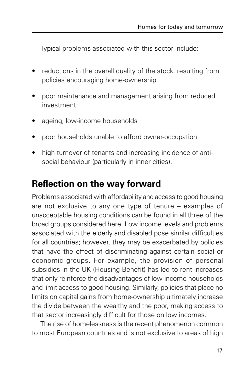Typical problems associated with this sector include:

- reductions in the overall quality of the stock, resulting from policies encouraging home-ownership
- poor maintenance and management arising from reduced investment
- ageing, low-income households
- poor households unable to afford owner-occupation
- high turnover of tenants and increasing incidence of antisocial behaviour (particularly in inner cities).

### **Reflection on the way forward**

Problems associated with affordability and access to good housing are not exclusive to any one type of tenure – examples of unacceptable housing conditions can be found in all three of the broad groups considered here. Low income levels and problems associated with the elderly and disabled pose similar difficulties for all countries; however, they may be exacerbated by policies that have the effect of discriminating against certain social or economic groups. For example, the provision of personal subsidies in the UK (Housing Benefit) has led to rent increases that only reinforce the disadvantages of low-income households and limit access to good housing. Similarly, policies that place no limits on capital gains from home-ownership ultimately increase the divide between the wealthy and the poor, making access to that sector increasingly difficult for those on low incomes.

The rise of homelessness is the recent phenomenon common to most European countries and is not exclusive to areas of high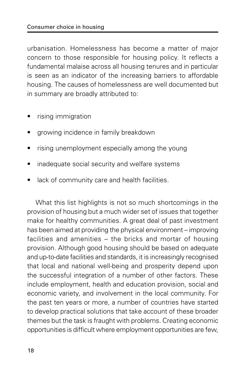urbanisation. Homelessness has become a matter of major concern to those responsible for housing policy. It reflects a fundamental malaise across all housing tenures and in particular is seen as an indicator of the increasing barriers to affordable housing. The causes of homelessness are well documented but in summary are broadly attributed to:

- rising immigration
- growing incidence in family breakdown
- rising unemployment especially among the young
- inadequate social security and welfare systems
- lack of community care and health facilities.

What this list highlights is not so much shortcomings in the provision of housing but a much wider set of issues that together make for healthy communities. A great deal of past investment has been aimed at providing the physical environment – improving facilities and amenities – the bricks and mortar of housing provision. Although good housing should be based on adequate and up-to-date facilities and standards, it is increasingly recognised that local and national well-being and prosperity depend upon the successful integration of a number of other factors. These include employment, health and education provision, social and economic variety, and involvement in the local community. For the past ten years or more, a number of countries have started to develop practical solutions that take account of these broader themes but the task is fraught with problems. Creating economic opportunities is difficult where employment opportunities are few,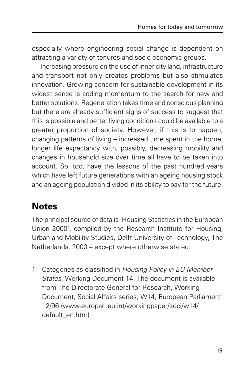especially where engineering social change is dependent on attracting a variety of tenures and socio-economic groups.

Increasing pressure on the use of inner city land, infrastructure and transport not only creates problems but also stimulates innovation. Growing concern for sustainable development in its widest sense is adding momentum to the search for new and better solutions. Regeneration takes time and conscious planning but there are already sufficient signs of success to suggest that this is possible and better living conditions could be available to a greater proportion of society. However, if this is to happen, changing patterns of living – increased time spent in the home, longer life expectancy with, possibly, decreasing mobility and changes in household size over time all have to be taken into account. So, too, have the lessons of the past hundred years which have left future generations with an ageing housing stock and an ageing population divided in its ability to pay for the future.

# **Notes**

The principal source of data is 'Housing Statistics in the European Union 2000', compiled by the Research Institute for Housing, Urban and Mobility Studies, Delft University of Technology, The Netherlands, 2000 – except where otherwise stated.

1 Categories as classified in Housing Policy in EU Member States, Working Document 14. The document is available from The Directorate General for Research, Working Document, Social Affairs series, W14, European Parliament 12/96 (www.europarl.eu.int/workingpaper/soci/w14/ default\_en.htm)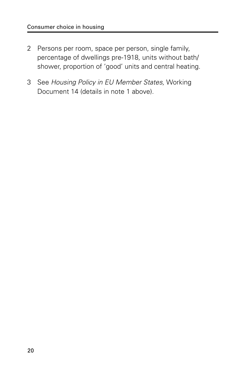- 2 Persons per room, space per person, single family, percentage of dwellings pre-1918, units without bath/ shower, proportion of 'good' units and central heating.
- 3 See Housing Policy in EU Member States, Working Document 14 (details in note 1 above).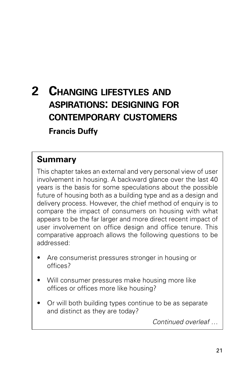# **2 CHANGING LIFESTYLES AND ASPIRATIONS: DESIGNING FOR CONTEMPORARY CUSTOMERS Francis Duffy**

### **Summary**

This chapter takes an external and very personal view of user involvement in housing. A backward glance over the last 40 years is the basis for some speculations about the possible future of housing both as a building type and as a design and delivery process. However, the chief method of enquiry is to compare the impact of consumers on housing with what appears to be the far larger and more direct recent impact of user involvement on office design and office tenure. This comparative approach allows the following questions to be addressed:

- Are consumerist pressures stronger in housing or offices?
- Will consumer pressures make housing more like offices or offices more like housing?
- Or will both building types continue to be as separate and distinct as they are today?

Continued overleaf …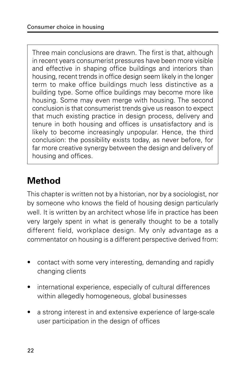Three main conclusions are drawn. The first is that, although in recent years consumerist pressures have been more visible and effective in shaping office buildings and interiors than housing, recent trends in office design seem likely in the longer term to make office buildings much less distinctive as a building type. Some office buildings may become more like housing. Some may even merge with housing. The second conclusion is that consumerist trends give us reason to expect that much existing practice in design process, delivery and tenure in both housing and offices is unsatisfactory and is likely to become increasingly unpopular. Hence, the third conclusion: the possibility exists today, as never before, for far more creative synergy between the design and delivery of housing and offices.

# **Method**

This chapter is written not by a historian, nor by a sociologist, nor by someone who knows the field of housing design particularly well. It is written by an architect whose life in practice has been very largely spent in what is generally thought to be a totally different field, workplace design. My only advantage as a commentator on housing is a different perspective derived from:

- contact with some very interesting, demanding and rapidly changing clients
- international experience, especially of cultural differences within allegedly homogeneous, global businesses
- a strong interest in and extensive experience of large-scale user participation in the design of offices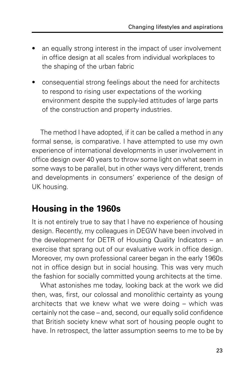- an equally strong interest in the impact of user involvement in office design at all scales from individual workplaces to the shaping of the urban fabric
- consequential strong feelings about the need for architects to respond to rising user expectations of the working environment despite the supply-led attitudes of large parts of the construction and property industries.

The method I have adopted, if it can be called a method in any formal sense, is comparative. I have attempted to use my own experience of international developments in user involvement in office design over 40 years to throw some light on what seem in some ways to be parallel, but in other ways very different, trends and developments in consumers' experience of the design of UK housing.

# **Housing in the 1960s**

It is not entirely true to say that I have no experience of housing design. Recently, my colleagues in DEGW have been involved in the development for DETR of Housing Quality Indicators – an exercise that sprang out of our evaluative work in office design. Moreover, my own professional career began in the early 1960s not in office design but in social housing. This was very much the fashion for socially committed young architects at the time.

What astonishes me today, looking back at the work we did then, was, first, our colossal and monolithic certainty as young architects that we knew what we were doing – which was certainly not the case – and, second, our equally solid confidence that British society knew what sort of housing people ought to have. In retrospect, the latter assumption seems to me to be by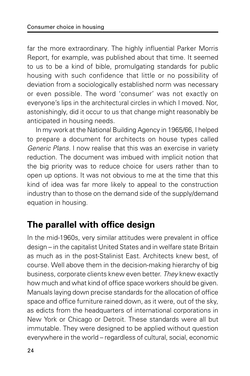far the more extraordinary. The highly influential Parker Morris Report, for example, was published about that time. It seemed to us to be a kind of bible, promulgating standards for public housing with such confidence that little or no possibility of deviation from a sociologically established norm was necessary or even possible. The word 'consumer' was not exactly on everyone's lips in the architectural circles in which I moved. Nor, astonishingly, did it occur to us that change might reasonably be anticipated in housing needs.

In my work at the National Building Agency in 1965/66, I helped to prepare a document for architects on house types called Generic Plans. I now realise that this was an exercise in variety reduction. The document was imbued with implicit notion that the big priority was to reduce choice for users rather than to open up options. It was not obvious to me at the time that this kind of idea was far more likely to appeal to the construction industry than to those on the demand side of the supply/demand equation in housing.

# **The parallel with office design**

In the mid-1960s, very similar attitudes were prevalent in office design – in the capitalist United States and in welfare state Britain as much as in the post-Stalinist East. Architects knew best, of course. Well above them in the decision-making hierarchy of big business, corporate clients knew even better. They knew exactly how much and what kind of office space workers should be given. Manuals laying down precise standards for the allocation of office space and office furniture rained down, as it were, out of the sky, as edicts from the headquarters of international corporations in New York or Chicago or Detroit. These standards were all but immutable. They were designed to be applied without question everywhere in the world – regardless of cultural, social, economic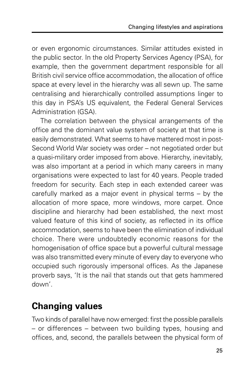or even ergonomic circumstances. Similar attitudes existed in the public sector. In the old Property Services Agency (PSA), for example, then the government department responsible for all British civil service office accommodation, the allocation of office space at every level in the hierarchy was all sewn up. The same centralising and hierarchically controlled assumptions linger to this day in PSA's US equivalent, the Federal General Services Administration (GSA).

The correlation between the physical arrangements of the office and the dominant value system of society at that time is easily demonstrated. What seems to have mattered most in post-Second World War society was order – not negotiated order but a quasi-military order imposed from above. Hierarchy, inevitably, was also important at a period in which many careers in many organisations were expected to last for 40 years. People traded freedom for security. Each step in each extended career was carefully marked as a major event in physical terms – by the allocation of more space, more windows, more carpet. Once discipline and hierarchy had been established, the next most valued feature of this kind of society, as reflected in its office accommodation, seems to have been the elimination of individual choice. There were undoubtedly economic reasons for the homogenisation of office space but a powerful cultural message was also transmitted every minute of every day to everyone who occupied such rigorously impersonal offices. As the Japanese proverb says, 'It is the nail that stands out that gets hammered down'.

# **Changing values**

Two kinds of parallel have now emerged: first the possible parallels – or differences – between two building types, housing and offices, and, second, the parallels between the physical form of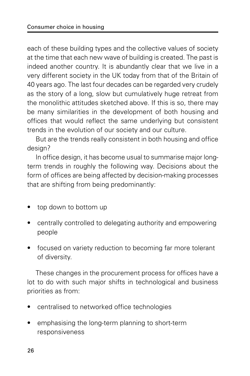each of these building types and the collective values of society at the time that each new wave of building is created. The past is indeed another country. It is abundantly clear that we live in a very different society in the UK today from that of the Britain of 40 years ago. The last four decades can be regarded very crudely as the story of a long, slow but cumulatively huge retreat from the monolithic attitudes sketched above. If this is so, there may be many similarities in the development of both housing and offices that would reflect the same underlying but consistent trends in the evolution of our society and our culture.

But are the trends really consistent in both housing and office design?

In office design, it has become usual to summarise major longterm trends in roughly the following way. Decisions about the form of offices are being affected by decision-making processes that are shifting from being predominantly:

- top down to bottom up
- centrally controlled to delegating authority and empowering people
- focused on variety reduction to becoming far more tolerant of diversity.

These changes in the procurement process for offices have a lot to do with such major shifts in technological and business priorities as from:

- centralised to networked office technologies
- emphasising the long-term planning to short-term responsiveness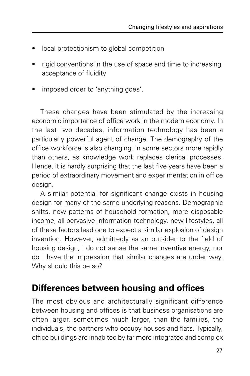- local protectionism to global competition
- rigid conventions in the use of space and time to increasing acceptance of fluidity
- imposed order to 'anything goes'.

These changes have been stimulated by the increasing economic importance of office work in the modern economy. In the last two decades, information technology has been a particularly powerful agent of change. The demography of the office workforce is also changing, in some sectors more rapidly than others, as knowledge work replaces clerical processes. Hence, it is hardly surprising that the last five years have been a period of extraordinary movement and experimentation in office design.

A similar potential for significant change exists in housing design for many of the same underlying reasons. Demographic shifts, new patterns of household formation, more disposable income, all-pervasive information technology, new lifestyles, all of these factors lead one to expect a similar explosion of design invention. However, admittedly as an outsider to the field of housing design, I do not sense the same inventive energy, nor do I have the impression that similar changes are under way. Why should this be so?

# **Differences between housing and offices**

The most obvious and architecturally significant difference between housing and offices is that business organisations are often larger, sometimes much larger, than the families, the individuals, the partners who occupy houses and flats. Typically, office buildings are inhabited by far more integrated and complex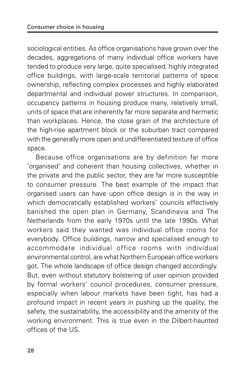sociological entities. As office organisations have grown over the decades, aggregations of many individual office workers have tended to produce very large, quite specialised, highly integrated office buildings, with large-scale territorial patterns of space ownership, reflecting complex processes and highly elaborated departmental and individual power structures. In comparison, occupancy patterns in housing produce many, relatively small, units of space that are inherently far more separate and hermetic than workplaces. Hence, the close grain of the architecture of the high-rise apartment block or the suburban tract compared with the generally more open and undifferentiated texture of office space.

Because office organisations are by definition far more 'organised' and coherent than housing collectives, whether in the private and the public sector, they are far more susceptible to consumer pressure. The best example of the impact that organised users can have upon office design is in the way in which democratically established workers' councils effectively banished the open plan in Germany, Scandinavia and The Netherlands from the early 1970s until the late 1990s. What workers said they wanted was individual office rooms for everybody. Office buildings, narrow and specialised enough to accommodate individual office rooms with individual environmental control, are what Northern European office workers got. The whole landscape of office design changed accordingly. But, even without statutory bolstering of user opinion provided by formal workers' council procedures, consumer pressure, especially when labour markets have been tight, has had a profound impact in recent years in pushing up the quality, the safety, the sustainability, the accessibility and the amenity of the working environment. This is true even in the Dilbert-haunted offices of the US.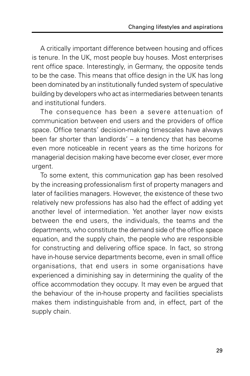A critically important difference between housing and offices is tenure. In the UK, most people buy houses. Most enterprises rent office space. Interestingly, in Germany, the opposite tends to be the case. This means that office design in the UK has long been dominated by an institutionally funded system of speculative building by developers who act as intermediaries between tenants and institutional funders.

The consequence has been a severe attenuation of communication between end users and the providers of office space. Office tenants' decision-making timescales have always been far shorter than landlords' – a tendency that has become even more noticeable in recent years as the time horizons for managerial decision making have become ever closer, ever more urgent.

To some extent, this communication gap has been resolved by the increasing professionalism first of property managers and later of facilities managers. However, the existence of these two relatively new professions has also had the effect of adding yet another level of intermediation. Yet another layer now exists between the end users, the individuals, the teams and the departments, who constitute the demand side of the office space equation, and the supply chain, the people who are responsible for constructing and delivering office space. In fact, so strong have in-house service departments become, even in small office organisations, that end users in some organisations have experienced a diminishing say in determining the quality of the office accommodation they occupy. It may even be argued that the behaviour of the in-house property and facilities specialists makes them indistinguishable from and, in effect, part of the supply chain.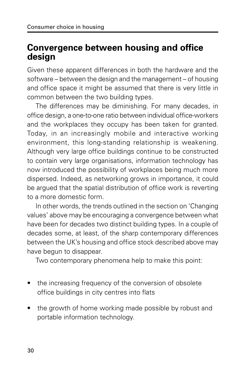### **Convergence between housing and office design**

Given these apparent differences in both the hardware and the software – between the design and the management – of housing and office space it might be assumed that there is very little in common between the two building types.

The differences may be diminishing. For many decades, in office design, a one-to-one ratio between individual office-workers and the workplaces they occupy has been taken for granted. Today, in an increasingly mobile and interactive working environment, this long-standing relationship is weakening. Although very large office buildings continue to be constructed to contain very large organisations, information technology has now introduced the possibility of workplaces being much more dispersed. Indeed, as networking grows in importance, it could be argued that the spatial distribution of office work is reverting to a more domestic form.

In other words, the trends outlined in the section on 'Changing values' above may be encouraging a convergence between what have been for decades two distinct building types. In a couple of decades some, at least, of the sharp contemporary differences between the UK's housing and office stock described above may have begun to disappear.

Two contemporary phenomena help to make this point:

- the increasing frequency of the conversion of obsolete office buildings in city centres into flats
- the growth of home working made possible by robust and portable information technology.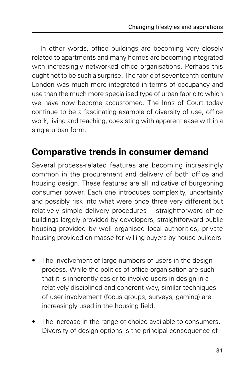In other words, office buildings are becoming very closely related to apartments and many homes are becoming integrated with increasingly networked office organisations. Perhaps this ought not to be such a surprise. The fabric of seventeenth-century London was much more integrated in terms of occupancy and use than the much more specialised type of urban fabric to which we have now become accustomed. The Inns of Court today continue to be a fascinating example of diversity of use, office work, living and teaching, coexisting with apparent ease within a single urban form.

### **Comparative trends in consumer demand**

Several process-related features are becoming increasingly common in the procurement and delivery of both office and housing design. These features are all indicative of burgeoning consumer power. Each one introduces complexity, uncertainty and possibly risk into what were once three very different but relatively simple delivery procedures – straightforward office buildings largely provided by developers, straightforward public housing provided by well organised local authorities, private housing provided en masse for willing buyers by house builders.

- The involvement of large numbers of users in the design process. While the politics of office organisation are such that it is inherently easier to involve users in design in a relatively disciplined and coherent way, similar techniques of user involvement (focus groups, surveys, gaming) are increasingly used in the housing field.
- The increase in the range of choice available to consumers. Diversity of design options is the principal consequence of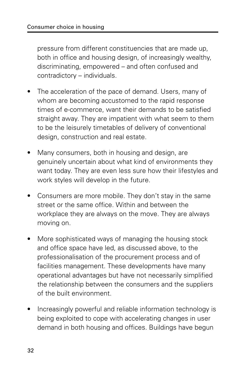pressure from different constituencies that are made up, both in office and housing design, of increasingly wealthy, discriminating, empowered – and often confused and contradictory – individuals.

- The acceleration of the pace of demand. Users, many of whom are becoming accustomed to the rapid response times of e-commerce, want their demands to be satisfied straight away. They are impatient with what seem to them to be the leisurely timetables of delivery of conventional design, construction and real estate.
- Many consumers, both in housing and design, are genuinely uncertain about what kind of environments they want today. They are even less sure how their lifestyles and work styles will develop in the future.
- Consumers are more mobile. They don't stay in the same street or the same office. Within and between the workplace they are always on the move. They are always moving on.
- More sophisticated ways of managing the housing stock and office space have led, as discussed above, to the professionalisation of the procurement process and of facilities management. These developments have many operational advantages but have not necessarily simplified the relationship between the consumers and the suppliers of the built environment.
- Increasingly powerful and reliable information technology is being exploited to cope with accelerating changes in user demand in both housing and offices. Buildings have begun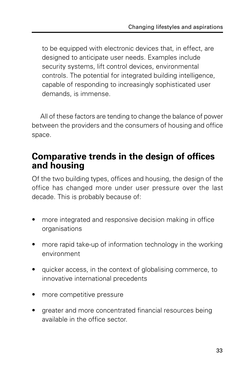to be equipped with electronic devices that, in effect, are designed to anticipate user needs. Examples include security systems, lift control devices, environmental controls. The potential for integrated building intelligence, capable of responding to increasingly sophisticated user demands, is immense.

All of these factors are tending to change the balance of power between the providers and the consumers of housing and office space.

### **Comparative trends in the design of offices and housing**

Of the two building types, offices and housing, the design of the office has changed more under user pressure over the last decade. This is probably because of:

- more integrated and responsive decision making in office organisations
- more rapid take-up of information technology in the working environment
- quicker access, in the context of globalising commerce, to innovative international precedents
- more competitive pressure
- greater and more concentrated financial resources being available in the office sector.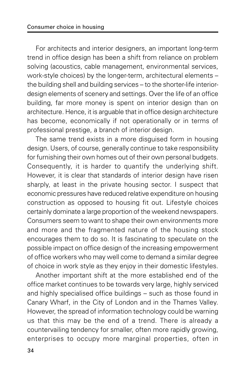For architects and interior designers, an important long-term trend in office design has been a shift from reliance on problem solving (acoustics, cable management, environmental services, work-style choices) by the longer-term, architectural elements – the building shell and building services – to the shorter-life interiordesign elements of scenery and settings. Over the life of an office building, far more money is spent on interior design than on architecture. Hence, it is arguable that in office design architecture has become, economically if not operationally or in terms of professional prestige, a branch of interior design.

The same trend exists in a more disguised form in housing design. Users, of course, generally continue to take responsibility for furnishing their own homes out of their own personal budgets. Consequently, it is harder to quantify the underlying shift. However, it is clear that standards of interior design have risen sharply, at least in the private housing sector. I suspect that economic pressures have reduced relative expenditure on housing construction as opposed to housing fit out. Lifestyle choices certainly dominate a large proportion of the weekend newspapers. Consumers seem to want to shape their own environments more and more and the fragmented nature of the housing stock encourages them to do so. It is fascinating to speculate on the possible impact on office design of the increasing empowerment of office workers who may well come to demand a similar degree of choice in work style as they enjoy in their domestic lifestyles.

Another important shift at the more established end of the office market continues to be towards very large, highly serviced and highly specialised office buildings – such as those found in Canary Wharf, in the City of London and in the Thames Valley. However, the spread of information technology could be warning us that this may be the end of a trend. There is already a countervailing tendency for smaller, often more rapidly growing, enterprises to occupy more marginal properties, often in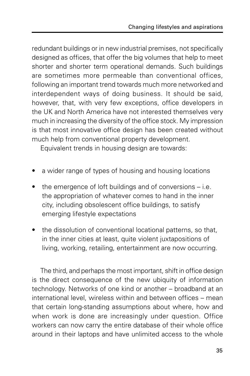redundant buildings or in new industrial premises, not specifically designed as offices, that offer the big volumes that help to meet shorter and shorter term operational demands. Such buildings are sometimes more permeable than conventional offices, following an important trend towards much more networked and interdependent ways of doing business. It should be said, however, that, with very few exceptions, office developers in the UK and North America have not interested themselves very much in increasing the diversity of the office stock. My impression is that most innovative office design has been created without much help from conventional property development.

Equivalent trends in housing design are towards:

- a wider range of types of housing and housing locations
- the emergence of loft buildings and of conversions  $-$  i.e. the appropriation of whatever comes to hand in the inner city, including obsolescent office buildings, to satisfy emerging lifestyle expectations
- the dissolution of conventional locational patterns, so that, in the inner cities at least, quite violent juxtapositions of living, working, retailing, entertainment are now occurring.

The third, and perhaps the most important, shift in office design is the direct consequence of the new ubiquity of information technology. Networks of one kind or another – broadband at an international level, wireless within and between offices – mean that certain long-standing assumptions about where, how and when work is done are increasingly under question. Office workers can now carry the entire database of their whole office around in their laptops and have unlimited access to the whole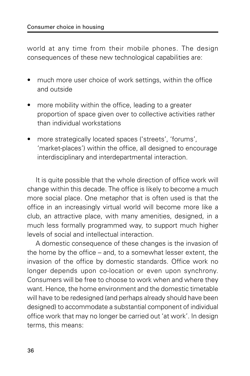world at any time from their mobile phones. The design consequences of these new technological capabilities are:

- much more user choice of work settings, within the office and outside
- more mobility within the office, leading to a greater proportion of space given over to collective activities rather than individual workstations
- more strategically located spaces ('streets', 'forums', 'market-places') within the office, all designed to encourage interdisciplinary and interdepartmental interaction.

It is quite possible that the whole direction of office work will change within this decade. The office is likely to become a much more social place. One metaphor that is often used is that the office in an increasingly virtual world will become more like a club, an attractive place, with many amenities, designed, in a much less formally programmed way, to support much higher levels of social and intellectual interaction.

A domestic consequence of these changes is the invasion of the home by the office – and, to a somewhat lesser extent, the invasion of the office by domestic standards. Office work no longer depends upon co-location or even upon synchrony. Consumers will be free to choose to work when and where they want. Hence, the home environment and the domestic timetable will have to be redesigned (and perhaps already should have been designed) to accommodate a substantial component of individual office work that may no longer be carried out 'at work'. In design terms, this means: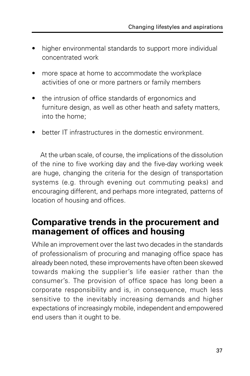- higher environmental standards to support more individual concentrated work
- more space at home to accommodate the workplace activities of one or more partners or family members
- the intrusion of office standards of ergonomics and furniture design, as well as other heath and safety matters, into the home;
- better IT infrastructures in the domestic environment.

At the urban scale, of course, the implications of the dissolution of the nine to five working day and the five-day working week are huge, changing the criteria for the design of transportation systems (e.g. through evening out commuting peaks) and encouraging different, and perhaps more integrated, patterns of location of housing and offices.

### **Comparative trends in the procurement and management of offices and housing**

While an improvement over the last two decades in the standards of professionalism of procuring and managing office space has already been noted, these improvements have often been skewed towards making the supplier's life easier rather than the consumer's. The provision of office space has long been a corporate responsibility and is, in consequence, much less sensitive to the inevitably increasing demands and higher expectations of increasingly mobile, independent and empowered end users than it ought to be.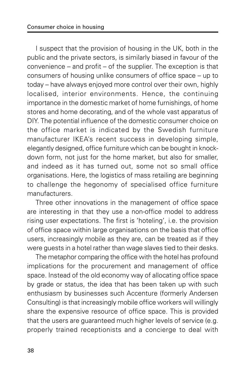I suspect that the provision of housing in the UK, both in the public and the private sectors, is similarly biased in favour of the convenience – and profit – of the supplier. The exception is that consumers of housing unlike consumers of office space – up to today – have always enjoyed more control over their own, highly localised, interior environments. Hence, the continuing importance in the domestic market of home furnishings, of home stores and home decorating, and of the whole vast apparatus of DIY. The potential influence of the domestic consumer choice on the office market is indicated by the Swedish furniture manufacturer IKEA's recent success in developing simple, elegantly designed, office furniture which can be bought in knockdown form, not just for the home market, but also for smaller, and indeed as it has turned out, some not so small office organisations. Here, the logistics of mass retailing are beginning to challenge the hegonomy of specialised office furniture manufacturers.

Three other innovations in the management of office space are interesting in that they use a non-office model to address rising user expectations. The first is 'hoteling', i.e. the provision of office space within large organisations on the basis that office users, increasingly mobile as they are, can be treated as if they were guests in a hotel rather than wage slaves tied to their desks.

The metaphor comparing the office with the hotel has profound implications for the procurement and management of office space. Instead of the old economy way of allocating office space by grade or status, the idea that has been taken up with such enthusiasm by businesses such Accenture (formerly Andersen Consulting) is that increasingly mobile office workers will willingly share the expensive resource of office space. This is provided that the users are guaranteed much higher levels of service (e.g. properly trained receptionists and a concierge to deal with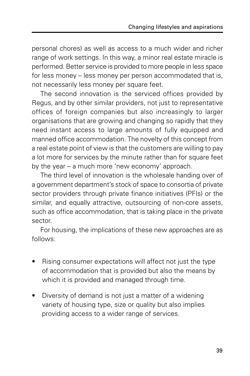personal chores) as well as access to a much wider and richer range of work settings. In this way, a minor real estate miracle is performed. Better service is provided to more people in less space for less money – less money per person accommodated that is, not necessarily less money per square feet.

The second innovation is the serviced offices provided by Regus, and by other similar providers, not just to representative offices of foreign companies but also increasingly to larger organisations that are growing and changing so rapidly that they need instant access to large amounts of fully equipped and manned office accommodation. The novelty of this concept from a real estate point of view is that the customers are willing to pay a lot more for services by the minute rather than for square feet by the year – a much more 'new economy' approach.

The third level of innovation is the wholesale handing over of a government department's stock of space to consortia of private sector providers through private finance initiatives (PFIs) or the similar, and equally attractive, outsourcing of non-core assets, such as office accommodation, that is taking place in the private sector.

For housing, the implications of these new approaches are as follows:

- Rising consumer expectations will affect not just the type of accommodation that is provided but also the means by which it is provided and managed through time.
- Diversity of demand is not just a matter of a widening variety of housing type, size or quality but also implies providing access to a wider range of services.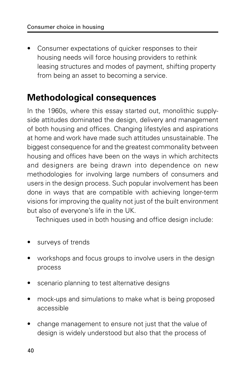• Consumer expectations of quicker responses to their housing needs will force housing providers to rethink leasing structures and modes of payment, shifting property from being an asset to becoming a service.

### **Methodological consequences**

In the 1960s, where this essay started out, monolithic supplyside attitudes dominated the design, delivery and management of both housing and offices. Changing lifestyles and aspirations at home and work have made such attitudes unsustainable. The biggest consequence for and the greatest commonality between housing and offices have been on the ways in which architects and designers are being drawn into dependence on new methodologies for involving large numbers of consumers and users in the design process. Such popular involvement has been done in ways that are compatible with achieving longer-term visions for improving the quality not just of the built environment but also of everyone's life in the UK.

Techniques used in both housing and office design include:

- surveys of trends
- workshops and focus groups to involve users in the design process
- scenario planning to test alternative designs
- mock-ups and simulations to make what is being proposed accessible
- change management to ensure not just that the value of design is widely understood but also that the process of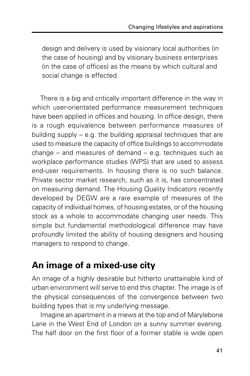design and delivery is used by visionary local authorities (in the case of housing) and by visionary business enterprises (in the case of offices) as the means by which cultural and social change is effected.

There is a big and critically important difference in the way in which user-orientated performance measurement techniques have been applied in offices and housing. In office design, there is a rough equivalence between performance measures of building supply – e.g. the building appraisal techniques that are used to measure the capacity of office buildings to accommodate change – and measures of demand – e.g. techniques such as workplace performance studies (WPS) that are used to assess end-user requirements. In housing there is no such balance. Private sector market research, such as it is, has concentrated on measuring demand. The Housing Quality Indicators recently developed by DEGW are a rare example of measures of the capacity of individual homes, of housing estates, or of the housing stock as a whole to accommodate changing user needs. This simple but fundamental methodological difference may have profoundly limited the ability of housing designers and housing managers to respond to change.

# **An image of a mixed-use city**

An image of a highly desirable but hitherto unattainable kind of urban environment will serve to end this chapter. The image is of the physical consequences of the convergence between two building types that is my underlying message.

Imagine an apartment in a mews at the top end of Marylebone Lane in the West End of London on a sunny summer evening. The half door on the first floor of a former stable is wide open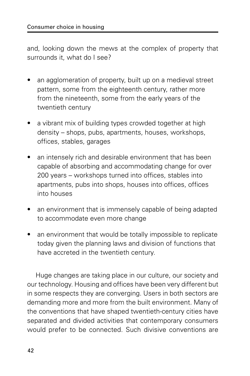and, looking down the mews at the complex of property that surrounds it, what do I see?

- an agglomeration of property, built up on a medieval street pattern, some from the eighteenth century, rather more from the nineteenth, some from the early years of the twentieth century
- a vibrant mix of building types crowded together at high density – shops, pubs, apartments, houses, workshops, offices, stables, garages
- an intensely rich and desirable environment that has been capable of absorbing and accommodating change for over 200 years – workshops turned into offices, stables into apartments, pubs into shops, houses into offices, offices into houses
- an environment that is immensely capable of being adapted to accommodate even more change
- an environment that would be totally impossible to replicate today given the planning laws and division of functions that have accreted in the twentieth century.

Huge changes are taking place in our culture, our society and our technology. Housing and offices have been very different but in some respects they are converging. Users in both sectors are demanding more and more from the built environment. Many of the conventions that have shaped twentieth-century cities have separated and divided activities that contemporary consumers would prefer to be connected. Such divisive conventions are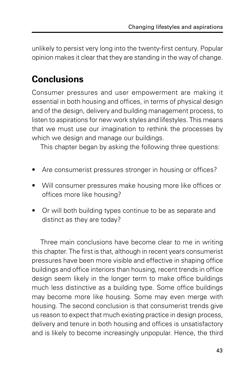unlikely to persist very long into the twenty-first century. Popular opinion makes it clear that they are standing in the way of change.

# **Conclusions**

Consumer pressures and user empowerment are making it essential in both housing and offices, in terms of physical design and of the design, delivery and building management process, to listen to aspirations for new work styles and lifestyles. This means that we must use our imagination to rethink the processes by which we design and manage our buildings.

This chapter began by asking the following three questions:

- Are consumerist pressures stronger in housing or offices?
- Will consumer pressures make housing more like offices or offices more like housing?
- Or will both building types continue to be as separate and distinct as they are today?

Three main conclusions have become clear to me in writing this chapter. The first is that, although in recent years consumerist pressures have been more visible and effective in shaping office buildings and office interiors than housing, recent trends in office design seem likely in the longer term to make office buildings much less distinctive as a building type. Some office buildings may become more like housing. Some may even merge with housing. The second conclusion is that consumerist trends give us reason to expect that much existing practice in design process, delivery and tenure in both housing and offices is unsatisfactory and is likely to become increasingly unpopular. Hence, the third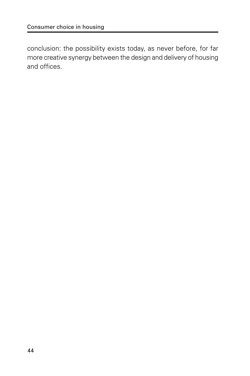conclusion: the possibility exists today, as never before, for far more creative synergy between the design and delivery of housing and offices.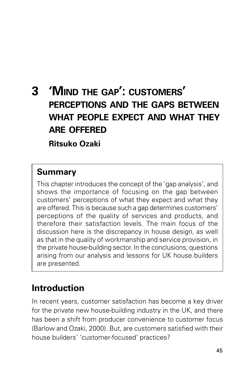# **3 'MIND THE GAP': CUSTOMERS' PERCEPTIONS AND THE GAPS BETWEEN WHAT PEOPLE EXPECT AND WHAT THEY ARE OFFERED**

**Ritsuko Ozaki**

### **Summary**

This chapter introduces the concept of the 'gap analysis', and shows the importance of focusing on the gap between customers' perceptions of what they expect and what they are offered. This is because such a gap determines customers' perceptions of the quality of services and products, and therefore their satisfaction levels. The main focus of the discussion here is the discrepancy in house design, as well as that in the quality of workmanship and service provision, in the private house-building sector. In the conclusions, questions arising from our analysis and lessons for UK house builders are presented.

# **Introduction**

In recent years, customer satisfaction has become a key driver for the private new house-building industry in the UK, and there has been a shift from producer convenience to customer focus (Barlow and Ozaki, 2000). But, are customers satisfied with their house builders' 'customer-focused' practices?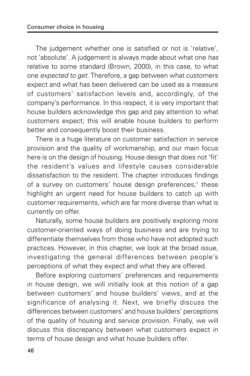The judgement whether one is satisfied or not is 'relative', not 'absolute'. A judgement is always made about what one has relative to some standard (Brown, 2000), in this case, to what one expected to get. Therefore, a gap between what customers expect and what has been delivered can be used as a measure of customers' satisfaction levels and, accordingly, of the company's performance. In this respect, it is very important that house builders acknowledge this gap and pay attention to what customers expect; this will enable house builders to perform better and consequently boost their business.

There is a huge literature on customer satisfaction in service provision and the quality of workmanship, and our main focus here is on the design of housing. House design that does not 'fit' the resident's values and lifestyle causes considerable dissatisfaction to the resident. The chapter introduces findings of a survey on customers' house design preferences;<sup>1</sup> these highlight an urgent need for house builders to catch up with customer requirements, which are far more diverse than what is currently on offer.

Naturally, some house builders are positively exploring more customer-oriented ways of doing business and are trying to differentiate themselves from those who have not adopted such practices. However, in this chapter, we look at the broad issue, investigating the general differences between people's perceptions of what they expect and what they are offered.

Before exploring customers' preferences and requirements in house design, we will initially look at this notion of a gap between customers' and house builders' views, and at the significance of analysing it. Next, we briefly discuss the differences between customers' and house builders' perceptions of the quality of housing and service provision. Finally, we will discuss this discrepancy between what customers expect in terms of house design and what house builders offer.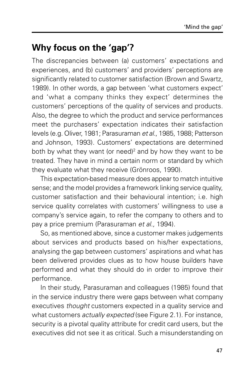# **Why focus on the 'gap'?**

The discrepancies between (a) customers' expectations and experiences, and (b) customers' and providers' perceptions are significantly related to customer satisfaction (Brown and Swartz, 1989). In other words, a gap between 'what customers expect' and 'what a company thinks they expect' determines the customers' perceptions of the quality of services and products. Also, the degree to which the product and service performances meet the purchasers' expectation indicates their satisfaction levels (e.g. Oliver, 1981; Parasuraman et al., 1985, 1988; Patterson and Johnson, 1993). Customers' expectations are determined both by what they want (or need)<sup>2</sup> and by how they want to be treated. They have in mind a certain norm or standard by which they evaluate what they receive (Grönroos, 1990).

This expectation-based measure does appear to match intuitive sense; and the model provides a framework linking service quality, customer satisfaction and their behavioural intention; i.e. high service quality correlates with customers' willingness to use a company's service again, to refer the company to others and to pay a price premium (Parasuraman et al., 1994).

So, as mentioned above, since a customer makes judgements about services and products based on his/her expectations, analysing the gap between customers' aspirations and what has been delivered provides clues as to how house builders have performed and what they should do in order to improve their performance.

In their study, Parasuraman and colleagues (1985) found that in the service industry there were gaps between what company executives thought customers expected in a quality service and what customers *actually expected* (see Figure 2.1). For instance, security is a pivotal quality attribute for credit card users, but the executives did not see it as critical. Such a misunderstanding on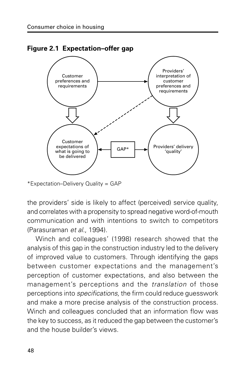

**Figure 2.1 Expectation–offer gap**

the providers' side is likely to affect (perceived) service quality, and correlates with a propensity to spread negative word-of-mouth communication and with intentions to switch to competitors (Parasuraman et al., 1994).

Winch and colleagues' (1998) research showed that the analysis of this gap in the construction industry led to the delivery of improved value to customers. Through identifying the gaps between customer expectations and the management's perception of customer expectations, and also between the management's perceptions and the translation of those perceptions into specifications, the firm could reduce guesswork and make a more precise analysis of the construction process. Winch and colleagues concluded that an information flow was the key to success, as it reduced the gap between the customer's and the house builder's views.

<sup>\*</sup>Expectation–Delivery Quality = GAP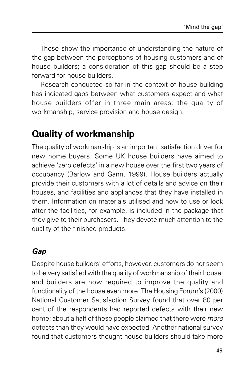These show the importance of understanding the nature of the gap between the perceptions of housing customers and of house builders; a consideration of this gap should be a step forward for house builders.

Research conducted so far in the context of house building has indicated gaps between what customers expect and what house builders offer in three main areas: the quality of workmanship, service provision and house design.

# **Quality of workmanship**

The quality of workmanship is an important satisfaction driver for new home buyers. Some UK house builders have aimed to achieve 'zero defects' in a new house over the first two years of occupancy (Barlow and Gann, 1999). House builders actually provide their customers with a lot of details and advice on their houses, and facilities and appliances that they have installed in them. Information on materials utilised and how to use or look after the facilities, for example, is included in the package that they give to their purchasers. They devote much attention to the quality of the finished products.

### **Gap**

Despite house builders' efforts, however, customers do not seem to be very satisfied with the quality of workmanship of their house; and builders are now required to improve the quality and functionality of the house even more. The Housing Forum's (2000) National Customer Satisfaction Survey found that over 80 per cent of the respondents had reported defects with their new home; about a half of these people claimed that there were more defects than they would have expected. Another national survey found that customers thought house builders should take more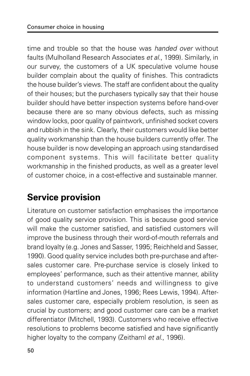time and trouble so that the house was *handed over* without faults (Mulholland Research Associates et al., 1999). Similarly, in our survey, the customers of a UK speculative volume house builder complain about the quality of finishes. This contradicts the house builder's views. The staff are confident about the quality of their houses; but the purchasers typically say that their house builder should have better inspection systems before hand-over because there are so many obvious defects, such as missing window locks, poor quality of paintwork, unfinished socket covers and rubbish in the sink. Clearly, their customers would like better quality workmanship than the house builders currently offer. The house builder is now developing an approach using standardised component systems. This will facilitate better quality workmanship in the finished products, as well as a greater level of customer choice, in a cost-effective and sustainable manner.

# **Service provision**

Literature on customer satisfaction emphasises the importance of good quality service provision. This is because good service will make the customer satisfied, and satisfied customers will improve the business through their word-of-mouth referrals and brand loyalty (e.g. Jones and Sasser, 1995; Reichheld and Sasser, 1990). Good quality service includes both pre-purchase and aftersales customer care. Pre-purchase service is closely linked to employees' performance, such as their attentive manner, ability to understand customers' needs and willingness to give information (Hartline and Jones, 1996; Rees Lewis, 1994). Aftersales customer care, especially problem resolution, is seen as crucial by customers; and good customer care can be a market differentiator (Mitchell, 1993). Customers who receive effective resolutions to problems become satisfied and have significantly higher loyalty to the company (Zeithaml et al., 1996).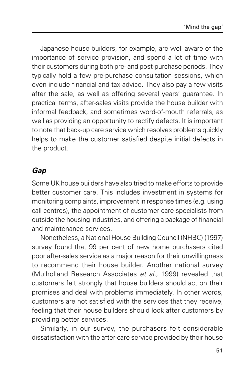Japanese house builders, for example, are well aware of the importance of service provision, and spend a lot of time with their customers during both pre- and post-purchase periods. They typically hold a few pre-purchase consultation sessions, which even include financial and tax advice. They also pay a few visits after the sale, as well as offering several years' guarantee. In practical terms, after-sales visits provide the house builder with informal feedback, and sometimes word-of-mouth referrals, as well as providing an opportunity to rectify defects. It is important to note that back-up care service which resolves problems quickly helps to make the customer satisfied despite initial defects in the product.

### **Gap**

Some UK house builders have also tried to make efforts to provide better customer care. This includes investment in systems for monitoring complaints, improvement in response times (e.g. using call centres), the appointment of customer care specialists from outside the housing industries, and offering a package of financial and maintenance services.

Nonetheless, a National House Building Council (NHBC) (1997) survey found that 99 per cent of new home purchasers cited poor after-sales service as a major reason for their unwillingness to recommend their house builder. Another national survey (Mulholland Research Associates et al., 1999) revealed that customers felt strongly that house builders should act on their promises and deal with problems immediately. In other words, customers are not satisfied with the services that they receive, feeling that their house builders should look after customers by providing better services.

Similarly, in our survey, the purchasers felt considerable dissatisfaction with the after-care service provided by their house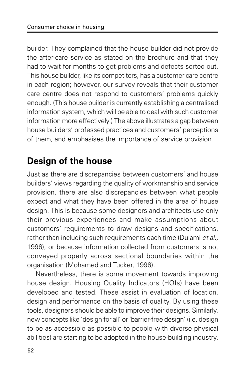builder. They complained that the house builder did not provide the after-care service as stated on the brochure and that they had to wait for months to get problems and defects sorted out. This house builder, like its competitors, has a customer care centre in each region; however, our survey reveals that their customer care centre does not respond to customers' problems quickly enough. (This house builder is currently establishing a centralised information system, which will be able to deal with such customer information more effectively.) The above illustrates a gap between house builders' professed practices and customers' perceptions of them, and emphasises the importance of service provision.

# **Design of the house**

Just as there are discrepancies between customers' and house builders' views regarding the quality of workmanship and service provision, there are also discrepancies between what people expect and what they have been offered in the area of house design. This is because some designers and architects use only their previous experiences and make assumptions about customers' requirements to draw designs and specifications, rather than including such requirements each time (Dulami et al., 1996), or because information collected from customers is not conveyed properly across sectional boundaries within the organisation (Mohamed and Tucker, 1996).

Nevertheless, there is some movement towards improving house design. Housing Quality Indicators (HQIs) have been developed and tested. These assist in evaluation of location, design and performance on the basis of quality. By using these tools, designers should be able to improve their designs. Similarly, new concepts like 'design for all' or 'barrier-free design' (i.e. design to be as accessible as possible to people with diverse physical abilities) are starting to be adopted in the house-building industry.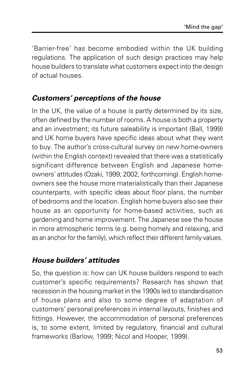'Barrier-free' has become embodied within the UK building regulations. The application of such design practices may help house builders to translate what customers expect into the design of actual houses.

### **Customers' perceptions of the house**

In the UK, the value of a house is partly determined by its size, often defined by the number of rooms. A house is both a property and an investment; its future saleability is important (Ball, 1999) and UK home buyers have specific ideas about what they want to buy. The author's cross-cultural survey on new home-owners (within the English context) revealed that there was a statistically significant difference between English and Japanese homeowners' attitudes (Ozaki, 1999; 2002, forthcoming). English homeowners see the house more materialistically than their Japanese counterparts, with specific ideas about floor plans, the number of bedrooms and the location. English home buyers also see their house as an opportunity for home-based activities, such as gardening and home improvement. The Japanese see the house in more atmospheric terms (e.g. being homely and relaxing, and as an anchor for the family), which reflect their different family values.

### **House builders' attitudes**

So, the question is: how can UK house builders respond to each customer's specific requirements? Research has shown that recession in the housing market in the 1990s led to standardisation of house plans and also to some degree of adaptation of customers' personal preferences in internal layouts, finishes and fittings. However, the accommodation of personal preferences is, to some extent, limited by regulatory, financial and cultural frameworks (Barlow, 1999; Nicol and Hooper, 1999).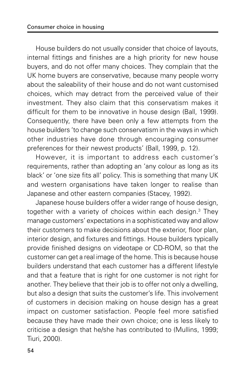House builders do not usually consider that choice of layouts, internal fittings and finishes are a high priority for new house buyers, and do not offer many choices. They complain that the UK home buyers are conservative, because many people worry about the saleability of their house and do not want customised choices, which may detract from the perceived value of their investment. They also claim that this conservatism makes it difficult for them to be innovative in house design (Ball, 1999). Consequently, there have been only a few attempts from the house builders 'to change such conservatism in the ways in which other industries have done through encouraging consumer preferences for their newest products' (Ball, 1999, p. 12).

However, it is important to address each customer's requirements, rather than adopting an 'any colour as long as its black' or 'one size fits all' policy. This is something that many UK and western organisations have taken longer to realise than Japanese and other eastern companies (Stacey, 1992).

Japanese house builders offer a wider range of house design, together with a variety of choices within each design.3 They manage customers' expectations in a sophisticated way and allow their customers to make decisions about the exterior, floor plan, interior design, and fixtures and fittings. House builders typically provide finished designs on videotape or CD-ROM, so that the customer can get a real image of the home. This is because house builders understand that each customer has a different lifestyle and that a feature that is right for one customer is not right for another. They believe that their job is to offer not only a dwelling, but also a design that suits the customer's life. This involvement of customers in decision making on house design has a great impact on customer satisfaction. People feel more satisfied because they have made their own choice; one is less likely to criticise a design that he/she has contributed to (Mullins, 1999; Tiuri, 2000).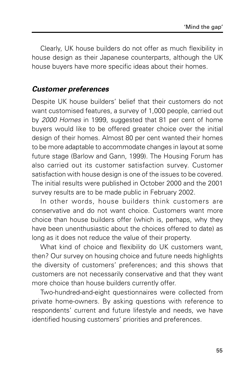Clearly, UK house builders do not offer as much flexibility in house design as their Japanese counterparts, although the UK house buyers have more specific ideas about their homes.

#### **Customer preferences**

Despite UK house builders' belief that their customers do not want customised features, a survey of 1,000 people, carried out by 2000 Homes in 1999, suggested that 81 per cent of home buyers would like to be offered greater choice over the initial design of their homes. Almost 80 per cent wanted their homes to be more adaptable to accommodate changes in layout at some future stage (Barlow and Gann, 1999). The Housing Forum has also carried out its customer satisfaction survey. Customer satisfaction with house design is one of the issues to be covered. The initial results were published in October 2000 and the 2001 survey results are to be made public in February 2002.

In other words, house builders think customers are conservative and do not want choice. Customers want more choice than house builders offer (which is, perhaps, why they have been unenthusiastic about the choices offered to date) as long as it does not reduce the value of their property.

What kind of choice and flexibility do UK customers want, then? Our survey on housing choice and future needs highlights the diversity of customers' preferences; and this shows that customers are not necessarily conservative and that they want more choice than house builders currently offer.

Two-hundred-and-eight questionnaires were collected from private home-owners. By asking questions with reference to respondents' current and future lifestyle and needs, we have identified housing customers' priorities and preferences.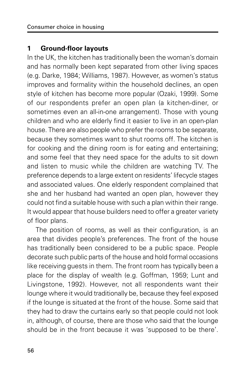#### **1 Ground-floor layouts**

In the UK, the kitchen has traditionally been the woman's domain and has normally been kept separated from other living spaces (e.g. Darke, 1984; Williams, 1987). However, as women's status improves and formality within the household declines, an open style of kitchen has become more popular (Ozaki, 1999). Some of our respondents prefer an open plan (a kitchen-diner, or sometimes even an all-in-one arrangement). Those with young children and who are elderly find it easier to live in an open-plan house. There are also people who prefer the rooms to be separate, because they sometimes want to shut rooms off. The kitchen is for cooking and the dining room is for eating and entertaining; and some feel that they need space for the adults to sit down and listen to music while the children are watching TV. The preference depends to a large extent on residents' lifecycle stages and associated values. One elderly respondent complained that she and her husband had wanted an open plan, however they could not find a suitable house with such a plan within their range. It would appear that house builders need to offer a greater variety of floor plans.

The position of rooms, as well as their configuration, is an area that divides people's preferences. The front of the house has traditionally been considered to be a public space. People decorate such public parts of the house and hold formal occasions like receiving guests in them. The front room has typically been a place for the display of wealth (e.g. Goffman, 1959; Lunt and Livingstone, 1992). However, not all respondents want their lounge where it would traditionally be, because they feel exposed if the lounge is situated at the front of the house. Some said that they had to draw the curtains early so that people could not look in, although, of course, there are those who said that the lounge should be in the front because it was 'supposed to be there'.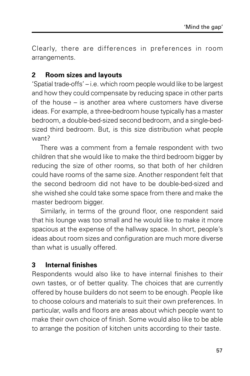Clearly, there are differences in preferences in room arrangements.

#### **2 Room sizes and layouts**

'Spatial trade-offs' – i.e. which room people would like to be largest and how they could compensate by reducing space in other parts of the house – is another area where customers have diverse ideas. For example, a three-bedroom house typically has a master bedroom, a double-bed-sized second bedroom, and a single-bedsized third bedroom. But, is this size distribution what people want?

There was a comment from a female respondent with two children that she would like to make the third bedroom bigger by reducing the size of other rooms, so that both of her children could have rooms of the same size. Another respondent felt that the second bedroom did not have to be double-bed-sized and she wished she could take some space from there and make the master bedroom bigger.

Similarly, in terms of the ground floor, one respondent said that his lounge was too small and he would like to make it more spacious at the expense of the hallway space. In short, people's ideas about room sizes and configuration are much more diverse than what is usually offered.

#### **3 Internal finishes**

Respondents would also like to have internal finishes to their own tastes, or of better quality. The choices that are currently offered by house builders do not seem to be enough. People like to choose colours and materials to suit their own preferences. In particular, walls and floors are areas about which people want to make their own choice of finish. Some would also like to be able to arrange the position of kitchen units according to their taste.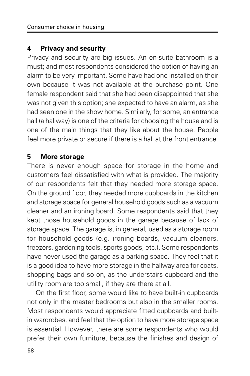#### **4 Privacy and security**

Privacy and security are big issues. An en-suite bathroom is a must; and most respondents considered the option of having an alarm to be very important. Some have had one installed on their own because it was not available at the purchase point. One female respondent said that she had been disappointed that she was not given this option; she expected to have an alarm, as she had seen one in the show home. Similarly, for some, an entrance hall (a hallway) is one of the criteria for choosing the house and is one of the main things that they like about the house. People feel more private or secure if there is a hall at the front entrance.

#### **5 More storage**

There is never enough space for storage in the home and customers feel dissatisfied with what is provided. The majority of our respondents felt that they needed more storage space. On the ground floor, they needed more cupboards in the kitchen and storage space for general household goods such as a vacuum cleaner and an ironing board. Some respondents said that they kept those household goods in the garage because of lack of storage space. The garage is, in general, used as a storage room for household goods (e.g. ironing boards, vacuum cleaners, freezers, gardening tools, sports goods, etc.). Some respondents have never used the garage as a parking space. They feel that it is a good idea to have more storage in the hallway area for coats, shopping bags and so on, as the understairs cupboard and the utility room are too small, if they are there at all.

On the first floor, some would like to have built-in cupboards not only in the master bedrooms but also in the smaller rooms. Most respondents would appreciate fitted cupboards and builtin wardrobes, and feel that the option to have more storage space is essential. However, there are some respondents who would prefer their own furniture, because the finishes and design of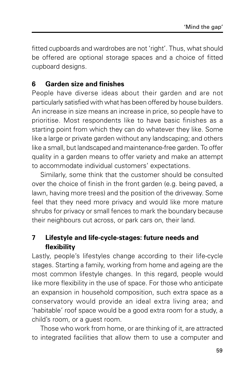fitted cupboards and wardrobes are not 'right'. Thus, what should be offered are optional storage spaces and a choice of fitted cupboard designs.

#### **6 Garden size and finishes**

People have diverse ideas about their garden and are not particularly satisfied with what has been offered by house builders. An increase in size means an increase in price, so people have to prioritise. Most respondents like to have basic finishes as a starting point from which they can do whatever they like. Some like a large or private garden without any landscaping; and others like a small, but landscaped and maintenance-free garden. To offer quality in a garden means to offer variety and make an attempt to accommodate individual customers' expectations.

Similarly, some think that the customer should be consulted over the choice of finish in the front garden (e.g. being paved, a lawn, having more trees) and the position of the driveway. Some feel that they need more privacy and would like more mature shrubs for privacy or small fences to mark the boundary because their neighbours cut across, or park cars on, their land.

#### **7 Lifestyle and life-cycle-stages: future needs and flexibility**

Lastly, people's lifestyles change according to their life-cycle stages. Starting a family, working from home and ageing are the most common lifestyle changes. In this regard, people would like more flexibility in the use of space. For those who anticipate an expansion in household composition, such extra space as a conservatory would provide an ideal extra living area; and 'habitable' roof space would be a good extra room for a study, a child's room, or a guest room.

Those who work from home, or are thinking of it, are attracted to integrated facilities that allow them to use a computer and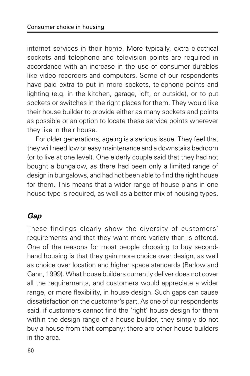internet services in their home. More typically, extra electrical sockets and telephone and television points are required in accordance with an increase in the use of consumer durables like video recorders and computers. Some of our respondents have paid extra to put in more sockets, telephone points and lighting (e.g. in the kitchen, garage, loft, or outside), or to put sockets or switches in the right places for them. They would like their house builder to provide either as many sockets and points as possible or an option to locate these service points wherever they like in their house.

For older generations, ageing is a serious issue. They feel that they will need low or easy maintenance and a downstairs bedroom (or to live at one level). One elderly couple said that they had not bought a bungalow, as there had been only a limited range of design in bungalows, and had not been able to find the right house for them. This means that a wider range of house plans in one house type is required, as well as a better mix of housing types.

#### **Gap**

These findings clearly show the diversity of customers' requirements and that they want more variety than is offered. One of the reasons for most people choosing to buy secondhand housing is that they gain more choice over design, as well as choice over location and higher space standards (Barlow and Gann, 1999). What house builders currently deliver does not cover all the requirements, and customers would appreciate a wider range, or more flexibility, in house design. Such gaps can cause dissatisfaction on the customer's part. As one of our respondents said, if customers cannot find the 'right' house design for them within the design range of a house builder, they simply do not buy a house from that company; there are other house builders in the area.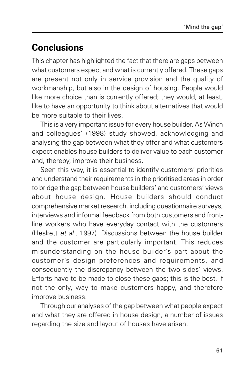# **Conclusions**

This chapter has highlighted the fact that there are gaps between what customers expect and what is currently offered. These gaps are present not only in service provision and the quality of workmanship, but also in the design of housing. People would like more choice than is currently offered; they would, at least, like to have an opportunity to think about alternatives that would be more suitable to their lives.

This is a very important issue for every house builder. As Winch and colleagues' (1998) study showed, acknowledging and analysing the gap between what they offer and what customers expect enables house builders to deliver value to each customer and, thereby, improve their business.

Seen this way, it is essential to identify customers' priorities and understand their requirements in the prioritised areas in order to bridge the gap between house builders' and customers' views about house design. House builders should conduct comprehensive market research, including questionnaire surveys, interviews and informal feedback from both customers and frontline workers who have everyday contact with the customers (Heskett et al., 1997). Discussions between the house builder and the customer are particularly important. This reduces misunderstanding on the house builder's part about the customer's design preferences and requirements, and consequently the discrepancy between the two sides' views. Efforts have to be made to close these gaps; this is the best, if not the only, way to make customers happy, and therefore improve business.

Through our analyses of the gap between what people expect and what they are offered in house design, a number of issues regarding the size and layout of houses have arisen.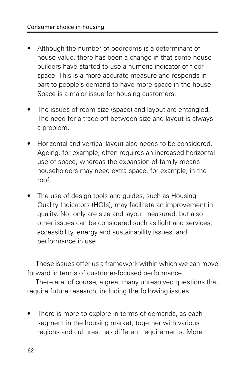- Although the number of bedrooms is a determinant of house value, there has been a change in that some house builders have started to use a numeric indicator of floor space. This is a more accurate measure and responds in part to people's demand to have more space in the house. Space is a major issue for housing customers.
- The issues of room size (space) and layout are entangled. The need for a trade-off between size and layout is always a problem.
- Horizontal and vertical layout also needs to be considered. Ageing, for example, often requires an increased horizontal use of space, whereas the expansion of family means householders may need extra space, for example, in the roof.
- The use of design tools and guides, such as Housing Quality Indicators (HQIs), may facilitate an improvement in quality. Not only are size and layout measured, but also other issues can be considered such as light and services, accessibility, energy and sustainability issues, and performance in use.

These issues offer us a framework within which we can move forward in terms of customer-focused performance.

There are, of course, a great many unresolved questions that require future research, including the following issues.

• There is more to explore in terms of demands, as each segment in the housing market, together with various regions and cultures, has different requirements. More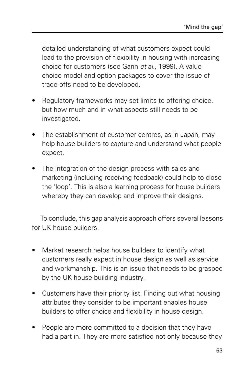detailed understanding of what customers expect could lead to the provision of flexibility in housing with increasing choice for customers (see Gann et al., 1999). A valuechoice model and option packages to cover the issue of trade-offs need to be developed.

- Regulatory frameworks may set limits to offering choice, but how much and in what aspects still needs to be investigated.
- The establishment of customer centres, as in Japan, may help house builders to capture and understand what people expect.
- The integration of the design process with sales and marketing (including receiving feedback) could help to close the 'loop'. This is also a learning process for house builders whereby they can develop and improve their designs.

To conclude, this gap analysis approach offers several lessons for UK house builders.

- Market research helps house builders to identify what customers really expect in house design as well as service and workmanship. This is an issue that needs to be grasped by the UK house-building industry.
- Customers have their priority list. Finding out what housing attributes they consider to be important enables house builders to offer choice and flexibility in house design.
- People are more committed to a decision that they have had a part in. They are more satisfied not only because they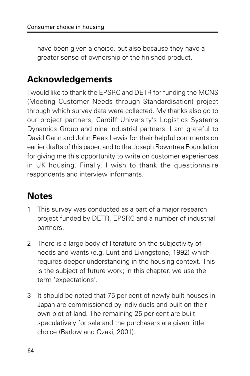have been given a choice, but also because they have a greater sense of ownership of the finished product.

### **Acknowledgements**

I would like to thank the EPSRC and DETR for funding the MCNS (Meeting Customer Needs through Standardisation) project through which survey data were collected. My thanks also go to our project partners, Cardiff University's Logistics Systems Dynamics Group and nine industrial partners. I am grateful to David Gann and John Rees Lewis for their helpful comments on earlier drafts of this paper, and to the Joseph Rowntree Foundation for giving me this opportunity to write on customer experiences in UK housing. Finally, I wish to thank the questionnaire respondents and interview informants.

# **Notes**

- 1 This survey was conducted as a part of a major research project funded by DETR, EPSRC and a number of industrial partners.
- 2 There is a large body of literature on the subjectivity of needs and wants (e.g. Lunt and Livingstone, 1992) which requires deeper understanding in the housing context. This is the subject of future work; in this chapter, we use the term 'expectations'.
- 3 It should be noted that 75 per cent of newly built houses in Japan are commissioned by individuals and built on their own plot of land. The remaining 25 per cent are built speculatively for sale and the purchasers are given little choice (Barlow and Ozaki, 2001).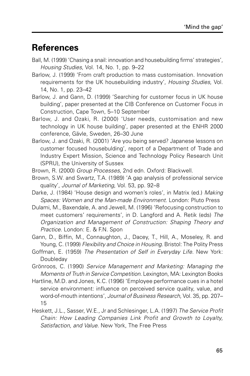### **References**

- Ball, M. (1999) 'Chasing a snail: innovation and housebuilding firms' strategies', Housing Studies, Vol. 14, No. 1, pp. 9–22
- Barlow, J. (1999) 'From craft production to mass customisation. Innovation requirements for the UK housebuilding industry', Housing Studies, Vol. 14, No. 1, pp. 23–42
- Barlow, J. and Gann, D. (1999) 'Searching for customer focus in UK house building', paper presented at the CIB Conference on Customer Focus in Construction, Cape Town, 5–10 September
- Barlow, J. and Ozaki, R. (2000) 'User needs, customisation and new technology in UK house building', paper presented at the ENHR 2000 conference, Gävle, Sweden, 26–30 June
- Barlow, J. and Ozaki, R. (2001) 'Are you being served? Japanese lessons on customer focused housebulding', report of a Department of Trade and Industry Expert Mission, Science and Technology Policy Research Unit (SPRU), the University of Sussex
- Brown, R. (2000) Group Processes, 2nd edn. Oxford: Blackwell.
- Brown, S.W. and Swartz, T.A. (1989) 'A gap analysis of professional service quality', Journal of Marketing, Vol. 53, pp. 92–8
- Darke, J. (1984) 'House design and women's roles', in Matrix (ed.) Making Spaces: Women and the Man-made Environment. London: Pluto Press
- Dulami, M., Baxendale, A. and Jewell, M. (1996) 'Refocusing construction to meet customers' requirements', in D. Langford and A. Retik (eds) The Organization and Management of Construction: Shaping Theory and Practice. London: E. & F.N. Spon
- Gann, D., Biffin, M., Connaughton, J., Dacey, T., Hill, A., Moseley, R. and Young, C. (1999) Flexibility and Choice in Housing. Bristol: The Polity Press
- Goffman, E. (1959) The Presentation of Self in Everyday Life. New York: Doubleday
- Grönroos, C. (1990) Service Management and Marketing: Managing the Moments of Truth in Service Competition. Lexington, MA: Lexington Books
- Hartline, M.D. and Jones, K.C. (1996) 'Employee performance cues in a hotel service environment: influence on perceived service quality, value, and word-of-mouth intentions', Journal of Business Research, Vol. 35, pp. 207– 15
- Heskett, J.L., Sasser, W.E., Jr and Schlesinger, L.A. (1997) The Service Profit Chain: How Leading Companies Link Profit and Growth to Loyalty, Satisfaction, and Value. New York, The Free Press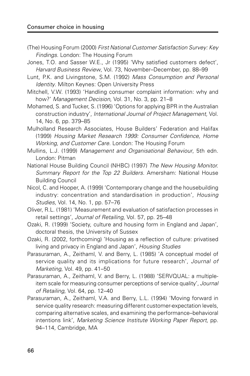- (The) Housing Forum (2000) First National Customer Satisfaction Survey: Key Findings. London: The Housing Forum
- Jones, T.O. and Sasser W.E., Jr (1995) 'Why satisfied customers defect', Harvard Business Review, Vol. 73, November–December, pp. 88–99
- Lunt, P.K. and Livingstone, S.M. (1992) Mass Consumption and Personal Identity. Milton Keynes: Open University Press
- Mitchell, V.W. (1993) 'Handling consumer complaint information: why and how?' Management Decision, Vol. 31, No. 3, pp. 21-8
- Mohamed, S. and Tucker, S. (1996) 'Options for applying BPR in the Australian construction industry', International Journal of Project Management, Vol. 14, No. 6, pp. 379–85
- Mulholland Research Associates, House Builders' Federation and Halifax (1999) Housing Market Research 1999: Consumer Confidence, Home Working, and Customer Care. London: The Housing Forum
- Mullins, L.J. (1999) Management and Organisational Behaviour, 5th edn. London: Pitman
- National House Building Council (NHBC) (1997) The New Housing Monitor. Summary Report for the Top 22 Builders. Amersham: National House Building Council
- Nicol, C. and Hooper, A. (1999) 'Contemporary change and the housebuilding industry: concentration and standardisation in production', Housing Studies, Vol. 14, No. 1, pp. 57–76
- Oliver, R.L. (1981) 'Measurement and evaluation of satisfaction processes in retail settings', Journal of Retailing, Vol. 57, pp. 25–48
- Ozaki, R. (1999) 'Society, culture and housing form in England and Japan', doctoral thesis, the University of Sussex
- Ozaki, R. (2002, forthcoming) 'Housing as a reflection of culture: privatised living and privacy in England and Japan', Housing Studies
- Parasuraman, A., Zeithaml, V. and Berry, L. (1985) 'A conceptual model of service quality and its implications for future research', Journal of Marketing, Vol. 49, pp. 41–50
- Parasuraman, A., Zeithaml, V. and Berry, L. (1988) 'SERVQUAL: a multipleitem scale for measuring consumer perceptions of service quality', Journal of Retailing, Vol. 64, pp. 12–40
- Parasuraman, A., Zeithaml, V.A. and Berry, L.L. (1994) 'Moving forward in service quality research: measuring different customer-expectation levels, comparing alternative scales, and examining the performance–behavioral intentions link', Marketing Science Institute Working Paper Report, pp. 94–114, Cambridge, MA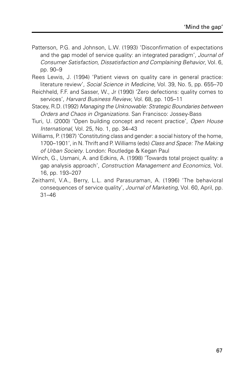- Patterson, P.G. and Johnson, L.W. (1993) 'Disconfirmation of expectations and the gap model of service quality: an integrated paradigm', Journal of Consumer Satisfaction, Dissatisfaction and Complaining Behavior, Vol. 6, pp. 90–9
- Rees Lewis, J. (1994) 'Patient views on quality care in general practice: literature review', Social Science in Medicine, Vol. 39, No. 5, pp. 655–70
- Reichheld, F.F. and Sasser, W., Jr (1990) 'Zero defections: quality comes to services', Harvard Business Review, Vol. 68, pp. 105–11
- Stacey, R.D. (1992) Managing the Unknowable: Strategic Boundaries between Orders and Chaos in Organizations. San Francisco: Jossey-Bass
- Tiuri, U. (2000) 'Open building concept and recent practice', Open House International, Vol. 25, No. 1, pp. 34–43
- Williams, P. (1987) 'Constituting class and gender: a social history of the home, 1700–1901', in N. Thrift and P. Williams (eds) Class and Space: The Making of Urban Society. London: Routledge & Kegan Paul
- Winch, G., Usmani, A. and Edkins, A. (1998) 'Towards total project quality: a gap analysis approach', Construction Management and Economics, Vol. 16, pp. 193–207
- Zeithaml, V.A., Berry, L.L. and Parasuraman, A. (1996) 'The behavioral consequences of service quality', Journal of Marketing, Vol. 60, April, pp. 31–46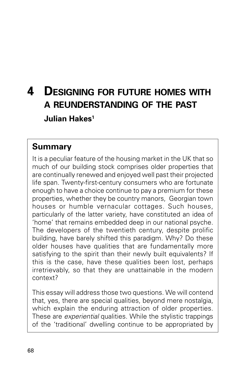# **4 DESIGNING FOR FUTURE HOMES WITH A REUNDERSTANDING OF THE PAST Julian Hakes1**

#### **Summary**

It is a peculiar feature of the housing market in the UK that so much of our building stock comprises older properties that are continually renewed and enjoyed well past their projected life span. Twenty-first-century consumers who are fortunate enough to have a choice continue to pay a premium for these properties, whether they be country manors, Georgian town houses or humble vernacular cottages. Such houses, particularly of the latter variety, have constituted an idea of 'home' that remains embedded deep in our national psyche. The developers of the twentieth century, despite prolific building, have barely shifted this paradigm. Why? Do these older houses have qualities that are fundamentally more satisfying to the spirit than their newly built equivalents? If this is the case, have these qualities been lost, perhaps irretrievably, so that they are unattainable in the modern context?

This essay will address those two questions. We will contend that, yes, there are special qualities, beyond mere nostalgia, which explain the enduring attraction of older properties. These are *experiential* qualities. While the stylistic trappings of the 'traditional' dwelling continue to be appropriated by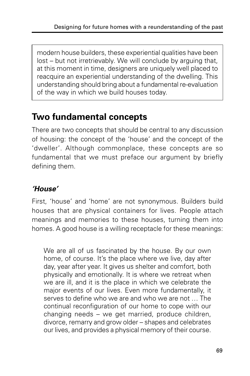modern house builders, these experiential qualities have been lost – but not irretrievably. We will conclude by arguing that, at this moment in time, designers are uniquely well placed to reacquire an experiential understanding of the dwelling. This understanding should bring about a fundamental re-evaluation of the way in which we build houses today.

# **Two fundamental concepts**

There are two concepts that should be central to any discussion of housing: the concept of the 'house' and the concept of the 'dweller'. Although commonplace, these concepts are so fundamental that we must preface our argument by briefly defining them.

#### **'House'**

First, 'house' and 'home' are not synonymous. Builders build houses that are physical containers for lives. People attach meanings and memories to these houses, turning them into homes. A good house is a willing receptacle for these meanings:

We are all of us fascinated by the house. By our own home, of course. It's the place where we live, day after day, year after year. It gives us shelter and comfort, both physically and emotionally. It is where we retreat when we are ill, and it is the place in which we celebrate the major events of our lives. Even more fundamentally, it serves to define who we are and who we are not … The continual reconfiguration of our home to cope with our changing needs – we get married, produce children, divorce, remarry and grow older – shapes and celebrates our lives, and provides a physical memory of their course.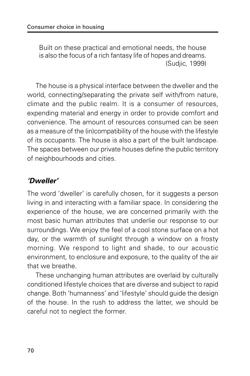Built on these practical and emotional needs, the house is also the focus of a rich fantasy life of hopes and dreams. (Sudjic, 1999)

The house is a physical interface between the dweller and the world, connecting/separating the private self with/from nature, climate and the public realm. It is a consumer of resources, expending material and energy in order to provide comfort and convenience. The amount of resources consumed can be seen as a measure of the (in)compatibility of the house with the lifestyle of its occupants. The house is also a part of the built landscape. The spaces between our private houses define the public territory of neighbourhoods and cities.

#### **'Dweller'**

The word 'dweller' is carefully chosen, for it suggests a person living in and interacting with a familiar space. In considering the experience of the house, we are concerned primarily with the most basic human attributes that underlie our response to our surroundings. We enjoy the feel of a cool stone surface on a hot day, or the warmth of sunlight through a window on a frosty morning. We respond to light and shade, to our acoustic environment, to enclosure and exposure, to the quality of the air that we breathe.

These unchanging human attributes are overlaid by culturally conditioned lifestyle choices that are diverse and subject to rapid change. Both 'humanness' and 'lifestyle' should guide the design of the house. In the rush to address the latter, we should be careful not to neglect the former.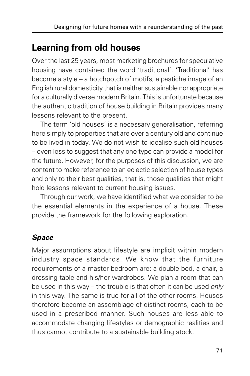# **Learning from old houses**

Over the last 25 years, most marketing brochures for speculative housing have contained the word 'traditional'. 'Traditional' has become a style – a hotchpotch of motifs, a pastiche image of an English rural domesticity that is neither sustainable nor appropriate for a culturally diverse modern Britain. This is unfortunate because the authentic tradition of house building in Britain provides many lessons relevant to the present.

The term 'old houses' is a necessary generalisation, referring here simply to properties that are over a century old and continue to be lived in today. We do not wish to idealise such old houses – even less to suggest that any one type can provide a model for the future. However, for the purposes of this discussion, we are content to make reference to an eclectic selection of house types and only to their best qualities, that is, those qualities that might hold lessons relevant to current housing issues.

Through our work, we have identified what we consider to be the essential elements in the experience of a house. These provide the framework for the following exploration.

### **Space**

Major assumptions about lifestyle are implicit within modern industry space standards. We know that the furniture requirements of a master bedroom are: a double bed, a chair, a dressing table and his/her wardrobes. We plan a room that can be used in this way – the trouble is that often it can be used only in this way. The same is true for all of the other rooms. Houses therefore become an assemblage of distinct rooms, each to be used in a prescribed manner. Such houses are less able to accommodate changing lifestyles or demographic realities and thus cannot contribute to a sustainable building stock.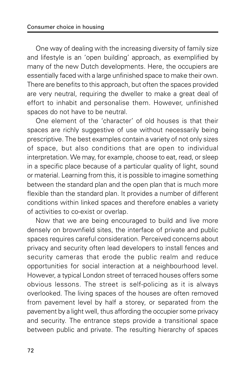One way of dealing with the increasing diversity of family size and lifestyle is an 'open building' approach, as exemplified by many of the new Dutch developments. Here, the occupiers are essentially faced with a large unfinished space to make their own. There are benefits to this approach, but often the spaces provided are very neutral, requiring the dweller to make a great deal of effort to inhabit and personalise them. However, unfinished spaces do not have to be neutral.

One element of the 'character' of old houses is that their spaces are richly suggestive of use without necessarily being prescriptive. The best examples contain a variety of not only sizes of space, but also conditions that are open to individual interpretation. We may, for example, choose to eat, read, or sleep in a specific place because of a particular quality of light, sound or material. Learning from this, it is possible to imagine something between the standard plan and the open plan that is much more flexible than the standard plan. It provides a number of different conditions within linked spaces and therefore enables a variety of activities to co-exist or overlap.

Now that we are being encouraged to build and live more densely on brownfield sites, the interface of private and public spaces requires careful consideration. Perceived concerns about privacy and security often lead developers to install fences and security cameras that erode the public realm and reduce opportunities for social interaction at a neighbourhood level. However, a typical London street of terraced houses offers some obvious lessons. The street is self-policing as it is always overlooked. The living spaces of the houses are often removed from pavement level by half a storey, or separated from the pavement by a light well, thus affording the occupier some privacy and security. The entrance steps provide a transitional space between public and private. The resulting hierarchy of spaces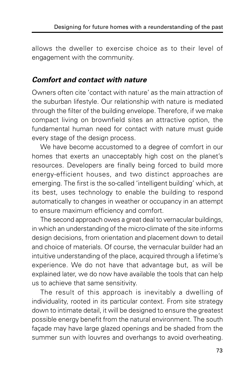allows the dweller to exercise choice as to their level of engagement with the community.

#### **Comfort and contact with nature**

Owners often cite 'contact with nature' as the main attraction of the suburban lifestyle. Our relationship with nature is mediated through the filter of the building envelope. Therefore, if we make compact living on brownfield sites an attractive option, the fundamental human need for contact with nature must guide every stage of the design process.

We have become accustomed to a degree of comfort in our homes that exerts an unacceptably high cost on the planet's resources. Developers are finally being forced to build more energy-efficient houses, and two distinct approaches are emerging. The first is the so-called 'intelligent building' which, at its best, uses technology to enable the building to respond automatically to changes in weather or occupancy in an attempt to ensure maximum efficiency and comfort.

The second approach owes a great deal to vernacular buildings, in which an understanding of the micro-climate of the site informs design decisions, from orientation and placement down to detail and choice of materials. Of course, the vernacular builder had an intuitive understanding of the place, acquired through a lifetime's experience. We do not have that advantage but, as will be explained later, we do now have available the tools that can help us to achieve that same sensitivity.

The result of this approach is inevitably a dwelling of individuality, rooted in its particular context. From site strategy down to intimate detail, it will be designed to ensure the greatest possible energy benefit from the natural environment. The south façade may have large glazed openings and be shaded from the summer sun with louvres and overhangs to avoid overheating.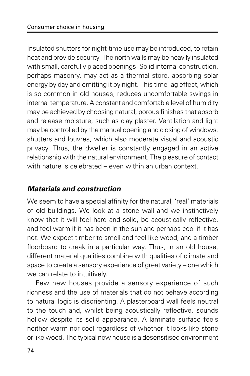Insulated shutters for night-time use may be introduced, to retain heat and provide security. The north walls may be heavily insulated with small, carefully placed openings. Solid internal construction, perhaps masonry, may act as a thermal store, absorbing solar energy by day and emitting it by night. This time-lag effect, which is so common in old houses, reduces uncomfortable swings in internal temperature. A constant and comfortable level of humidity may be achieved by choosing natural, porous finishes that absorb and release moisture, such as clay plaster. Ventilation and light may be controlled by the manual opening and closing of windows, shutters and louvres, which also moderate visual and acoustic privacy. Thus, the dweller is constantly engaged in an active relationship with the natural environment. The pleasure of contact with nature is celebrated – even within an urban context.

#### **Materials and construction**

We seem to have a special affinity for the natural, 'real' materials of old buildings. We look at a stone wall and we instinctively know that it will feel hard and solid, be acoustically reflective, and feel warm if it has been in the sun and perhaps cool if it has not. We expect timber to smell and feel like wood, and a timber floorboard to creak in a particular way. Thus, in an old house, different material qualities combine with qualities of climate and space to create a sensory experience of great variety – one which we can relate to intuitively.

Few new houses provide a sensory experience of such richness and the use of materials that do not behave according to natural logic is disorienting. A plasterboard wall feels neutral to the touch and, whilst being acoustically reflective, sounds hollow despite its solid appearance. A laminate surface feels neither warm nor cool regardless of whether it looks like stone or like wood. The typical new house is a desensitised environment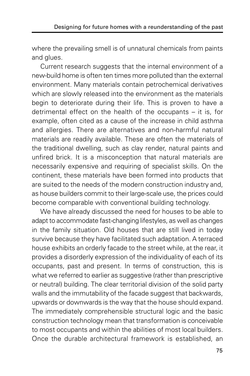where the prevailing smell is of unnatural chemicals from paints and glues.

Current research suggests that the internal environment of a new-build home is often ten times more polluted than the external environment. Many materials contain petrochemical derivatives which are slowly released into the environment as the materials begin to deteriorate during their life. This is proven to have a detrimental effect on the health of the occupants – it is, for example, often cited as a cause of the increase in child asthma and allergies. There are alternatives and non-harmful natural materials are readily available. These are often the materials of the traditional dwelling, such as clay render, natural paints and unfired brick. It is a misconception that natural materials are necessarily expensive and requiring of specialist skills. On the continent, these materials have been formed into products that are suited to the needs of the modern construction industry and, as house builders commit to their large-scale use, the prices could become comparable with conventional building technology.

We have already discussed the need for houses to be able to adapt to accommodate fast-changing lifestyles, as well as changes in the family situation. Old houses that are still lived in today survive because they have facilitated such adaptation. A terraced house exhibits an orderly facade to the street while, at the rear, it provides a disorderly expression of the individuality of each of its occupants, past and present. In terms of construction, this is what we referred to earlier as suggestive (rather than prescriptive or neutral) building. The clear territorial division of the solid party walls and the immutability of the facade suggest that backwards, upwards or downwards is the way that the house should expand. The immediately comprehensible structural logic and the basic construction technology mean that transformation is conceivable to most occupants and within the abilities of most local builders. Once the durable architectural framework is established, an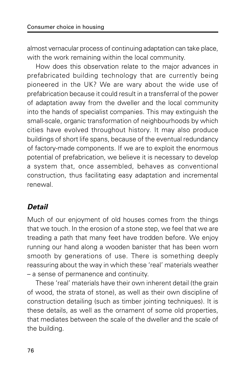almost vernacular process of continuing adaptation can take place, with the work remaining within the local community.

How does this observation relate to the major advances in prefabricated building technology that are currently being pioneered in the UK? We are wary about the wide use of prefabrication because it could result in a transferral of the power of adaptation away from the dweller and the local community into the hands of specialist companies. This may extinguish the small-scale, organic transformation of neighbourhoods by which cities have evolved throughout history. It may also produce buildings of short life spans, because of the eventual redundancy of factory-made components. If we are to exploit the enormous potential of prefabrication, we believe it is necessary to develop a system that, once assembled, behaves as conventional construction, thus facilitating easy adaptation and incremental renewal.

#### **Detail**

Much of our enjoyment of old houses comes from the things that we touch. In the erosion of a stone step, we feel that we are treading a path that many feet have trodden before. We enjoy running our hand along a wooden banister that has been worn smooth by generations of use. There is something deeply reassuring about the way in which these 'real' materials weather – a sense of permanence and continuity.

These 'real' materials have their own inherent detail (the grain of wood, the strata of stone), as well as their own discipline of construction detailing (such as timber jointing techniques). It is these details, as well as the ornament of some old properties, that mediates between the scale of the dweller and the scale of the building.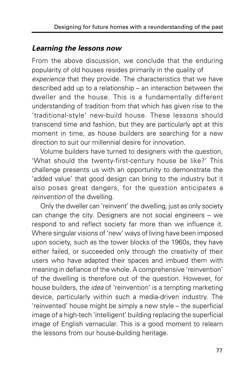#### **Learning the lessons now**

From the above discussion, we conclude that the enduring popularity of old houses resides primarily in the quality of experience that they provide. The characteristics that we have described add up to a relationship – an interaction between the dweller and the house. This is a fundamentally different understanding of tradition from that which has given rise to the 'traditional-style' new-build house. These lessons should transcend time and fashion, but they are particularly apt at this moment in time, as house builders are searching for a new direction to suit our millennial desire for innovation.

Volume builders have turned to designers with the question, 'What should the twenty-first-century house be like?' This challenge presents us with an opportunity to demonstrate the 'added value' that good design can bring to the industry but it also poses great dangers, for the question anticipates a reinvention of the dwelling.

Only the dweller can 'reinvent' the dwelling, just as only society can change the city. Designers are not social engineers – we respond to and reflect society far more than we influence it. Where singular visions of 'new' ways of living have been imposed upon society, such as the tower blocks of the 1960s, they have either failed, or succeeded only through the creativity of their users who have adapted their spaces and imbued them with meaning in defiance of the whole. A comprehensive 'reinvention' of the dwelling is therefore out of the question. However, for house builders, the *idea* of 'reinvention' is a tempting marketing device, particularly within such a media-driven industry. The 'reinvented' house might be simply a new style – the superficial image of a high-tech 'intelligent' building replacing the superficial image of English vernacular. This is a good moment to relearn the lessons from our house-building heritage.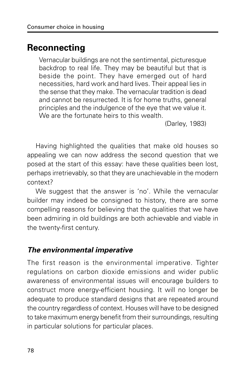### **Reconnecting**

Vernacular buildings are not the sentimental, picturesque backdrop to real life. They may be beautiful but that is beside the point. They have emerged out of hard necessities, hard work and hard lives. Their appeal lies in the sense that they make. The vernacular tradition is dead and cannot be resurrected. It is for home truths, general principles and the indulgence of the eye that we value it. We are the fortunate heirs to this wealth.

(Darley, 1983)

Having highlighted the qualities that make old houses so appealing we can now address the second question that we posed at the start of this essay: have these qualities been lost, perhaps irretrievably, so that they are unachievable in the modern context?

We suggest that the answer is 'no'. While the vernacular builder may indeed be consigned to history, there are some compelling reasons for believing that the qualities that we have been admiring in old buildings are both achievable and viable in the twenty-first century.

#### **The environmental imperative**

The first reason is the environmental imperative. Tighter regulations on carbon dioxide emissions and wider public awareness of environmental issues will encourage builders to construct more energy-efficient housing. It will no longer be adequate to produce standard designs that are repeated around the country regardless of context. Houses will have to be designed to take maximum energy benefit from their surroundings, resulting in particular solutions for particular places.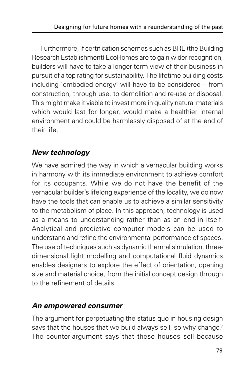Furthermore, if certification schemes such as BRE (the Building Research Establishment) EcoHomes are to gain wider recognition, builders will have to take a longer-term view of their business in pursuit of a top rating for sustainability. The lifetime building costs including 'embodied energy' will have to be considered – from construction, through use, to demolition and re-use or disposal. This might make it viable to invest more in quality natural materials which would last for longer, would make a healthier internal environment and could be harmlessly disposed of at the end of their life.

#### **New technology**

We have admired the way in which a vernacular building works in harmony with its immediate environment to achieve comfort for its occupants. While we do not have the benefit of the vernacular builder's lifelong experience of the locality, we do now have the tools that can enable us to achieve a similar sensitivity to the metabolism of place. In this approach, technology is used as a means to understanding rather than as an end in itself. Analytical and predictive computer models can be used to understand and refine the environmental performance of spaces. The use of techniques such as dynamic thermal simulation, threedimensional light modelling and computational fluid dynamics enables designers to explore the effect of orientation, opening size and material choice, from the initial concept design through to the refinement of details.

#### **An empowered consumer**

The argument for perpetuating the status quo in housing design says that the houses that we build always sell, so why change? The counter-argument says that these houses sell because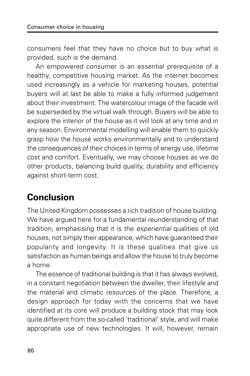consumers feel that they have no choice but to buy what is provided, such is the demand.

An empowered consumer is an essential prerequisite of a healthy, competitive housing market. As the internet becomes used increasingly as a vehicle for marketing houses, potential buyers will at last be able to make a fully informed judgement about their investment. The watercolour image of the facade will be superseded by the virtual walk through. Buyers will be able to explore the interior of the house as it will look at any time and in any season. Environmental modelling will enable them to quickly grasp how the house works environmentally and to understand the consequences of their choices in terms of energy use, lifetime cost and comfort. Eventually, we may choose houses as we do other products, balancing build quality, durability and efficiency against short-term cost.

# **Conclusion**

The United Kingdom possesses a rich tradition of house building. We have argued here for a fundamental reunderstanding of that tradition, emphasising that it is the experiential qualities of old houses, not simply their appearance, which have guaranteed their popularity and longevity. It is these qualities that give us satisfaction as human beings and allow the house to truly become a home.

The essence of traditional building is that it has always evolved, in a constant negotiation between the dweller, their lifestyle and the material and climatic resources of the place. Therefore, a design approach for today with the concerns that we have identified at its core will produce a building stock that may look quite different from the so-called 'traditional' style, and will make appropriate use of new technologies. It will, however, remain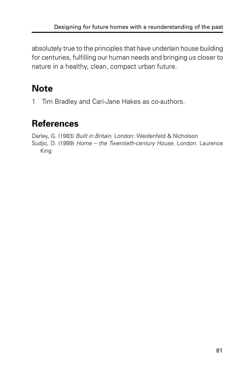absolutely true to the principles that have underlain house building for centuries, fulfilling our human needs and bringing us closer to nature in a healthy, clean, compact urban future.

# **Note**

1 Tim Bradley and Cari-Jane Hakes as co-authors.

# **References**

Darley, G. (1983) Built in Britain. London: Weidenfeld & Nicholson Sudjic, D. (1999) Home – the Twentieth-century House. London: Laurence King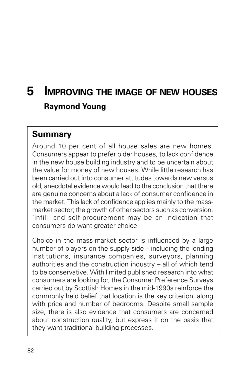# **5 IMPROVING THE IMAGE OF NEW HOUSES Raymond Young**

#### **Summary**

Around 10 per cent of all house sales are new homes. Consumers appear to prefer older houses, to lack confidence in the new house building industry and to be uncertain about the value for money of new houses. While little research has been carried out into consumer attitudes towards new versus old, anecdotal evidence would lead to the conclusion that there are genuine concerns about a lack of consumer confidence in the market. This lack of confidence applies mainly to the massmarket sector; the growth of other sectors such as conversion, 'infill' and self-procurement may be an indication that consumers do want greater choice.

Choice in the mass-market sector is influenced by a large number of players on the supply side – including the lending institutions, insurance companies, surveyors, planning authorities and the construction industry – all of which tend to be conservative. With limited published research into what consumers are looking for, the Consumer Preference Surveys carried out by Scottish Homes in the mid-1990s reinforce the commonly held belief that location is the key criterion, along with price and number of bedrooms. Despite small sample size, there is also evidence that consumers are concerned about construction quality, but express it on the basis that they want traditional building processes.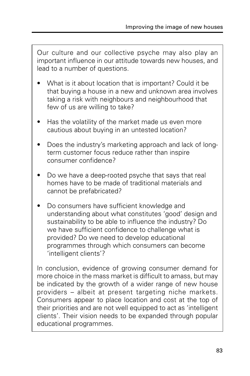Our culture and our collective psyche may also play an important influence in our attitude towards new houses, and lead to a number of questions.

- What is it about location that is important? Could it be that buying a house in a new and unknown area involves taking a risk with neighbours and neighbourhood that few of us are willing to take?
- Has the volatility of the market made us even more cautious about buying in an untested location?
- Does the industry's marketing approach and lack of longterm customer focus reduce rather than inspire consumer confidence?
- Do we have a deep-rooted psyche that says that real homes have to be made of traditional materials and cannot be prefabricated?
- Do consumers have sufficient knowledge and understanding about what constitutes 'good' design and sustainability to be able to influence the industry? Do we have sufficient confidence to challenge what is provided? Do we need to develop educational programmes through which consumers can become 'intelligent clients'?

In conclusion, evidence of growing consumer demand for more choice in the mass market is difficult to amass, but may be indicated by the growth of a wider range of new house providers – albeit at present targeting niche markets. Consumers appear to place location and cost at the top of their priorities and are not well equipped to act as 'intelligent clients'. Their vision needs to be expanded through popular educational programmes.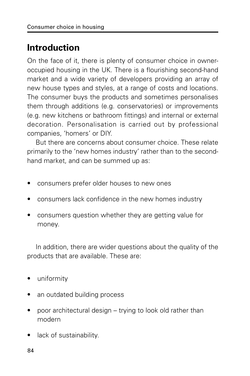# **Introduction**

On the face of it, there is plenty of consumer choice in owneroccupied housing in the UK. There is a flourishing second-hand market and a wide variety of developers providing an array of new house types and styles, at a range of costs and locations. The consumer buys the products and sometimes personalises them through additions (e.g. conservatories) or improvements (e.g. new kitchens or bathroom fittings) and internal or external decoration. Personalisation is carried out by professional companies, 'homers' or DIY.

But there are concerns about consumer choice. These relate primarily to the 'new homes industry' rather than to the secondhand market, and can be summed up as:

- consumers prefer older houses to new ones
- consumers lack confidence in the new homes industry
- consumers question whether they are getting value for money.

In addition, there are wider questions about the quality of the products that are available. These are:

- uniformity
- an outdated building process
- poor architectural design trying to look old rather than modern
- lack of sustainability.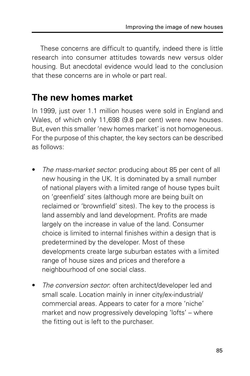These concerns are difficult to quantify, indeed there is little research into consumer attitudes towards new versus older housing. But anecdotal evidence would lead to the conclusion that these concerns are in whole or part real.

#### **The new homes market**

In 1999, just over 1.1 million houses were sold in England and Wales, of which only 11,698 (9.8 per cent) were new houses. But, even this smaller 'new homes market' is not homogeneous. For the purpose of this chapter, the key sectors can be described as follows:

- The mass-market sector: producing about 85 per cent of all new housing in the UK. It is dominated by a small number of national players with a limited range of house types built on 'greenfield' sites (although more are being built on reclaimed or 'brownfield' sites). The key to the process is land assembly and land development. Profits are made largely on the increase in value of the land. Consumer choice is limited to internal finishes within a design that is predetermined by the developer. Most of these developments create large suburban estates with a limited range of house sizes and prices and therefore a neighbourhood of one social class.
- The conversion sector: often architect/developer led and small scale. Location mainly in inner city/ex-industrial/ commercial areas. Appears to cater for a more 'niche' market and now progressively developing 'lofts' – where the fitting out is left to the purchaser.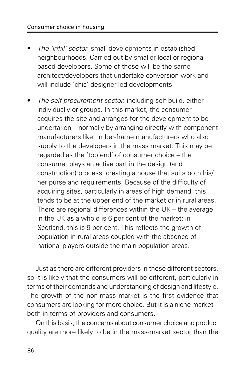- The 'infill' sector: small developments in established neighbourhoods. Carried out by smaller local or regionalbased developers. Some of these will be the same architect/developers that undertake conversion work and will include 'chic' designer-led developments.
- The self-procurement sector: including self-build, either individually or groups. In this market, the consumer acquires the site and arranges for the development to be undertaken – normally by arranging directly with component manufacturers like timber-frame manufacturers who also supply to the developers in the mass market. This may be regarded as the 'top end' of consumer choice – the consumer plays an active part in the design (and construction) process, creating a house that suits both his/ her purse and requirements. Because of the difficulty of acquiring sites, particularly in areas of high demand, this tends to be at the upper end of the market or in rural areas. There are regional differences within the UK – the average in the UK as a whole is 6 per cent of the market; in Scotland, this is 9 per cent. This reflects the growth of population in rural areas coupled with the absence of national players outside the main population areas.

Just as there are different providers in these different sectors, so it is likely that the consumers will be different, particularly in terms of their demands and understanding of design and lifestyle. The growth of the non-mass market is the first evidence that consumers are looking for more choice. But it is a niche market – both in terms of providers and consumers.

On this basis, the concerns about consumer choice and product quality are more likely to be in the mass-market sector than the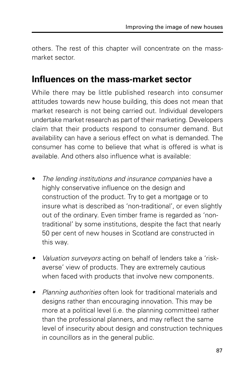others. The rest of this chapter will concentrate on the massmarket sector.

#### **Influences on the mass-market sector**

While there may be little published research into consumer attitudes towards new house building, this does not mean that market research is not being carried out. Individual developers undertake market research as part of their marketing. Developers claim that their products respond to consumer demand. But availability can have a serious effect on what is demanded. The consumer has come to believe that what is offered is what is available. And others also influence what is available:

- The lending institutions and insurance companies have a highly conservative influence on the design and construction of the product. Try to get a mortgage or to insure what is described as 'non-traditional', or even slightly out of the ordinary. Even timber frame is regarded as 'nontraditional' by some institutions, despite the fact that nearly 50 per cent of new houses in Scotland are constructed in this way.
- •Valuation surveyors acting on behalf of lenders take a 'riskaverse' view of products. They are extremely cautious when faced with products that involve new components.
- • Planning authorities often look for traditional materials and designs rather than encouraging innovation. This may be more at a political level (i.e. the planning committee) rather than the professional planners, and may reflect the same level of insecurity about design and construction techniques in councillors as in the general public.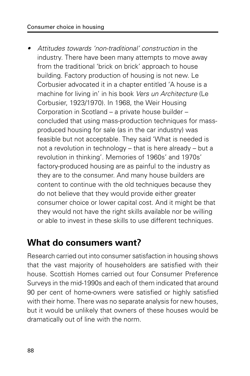#### Consumer choice in housing

• Attitudes towards 'non-traditional' construction in the industry. There have been many attempts to move away from the traditional 'brick on brick' approach to house building. Factory production of housing is not new. Le Corbusier advocated it in a chapter entitled 'A house is a machine for living in' in his book Vers un Architecture (Le Corbusier, 1923/1970). In 1968, the Weir Housing Corporation in Scotland – a private house builder – concluded that using mass-production techniques for massproduced housing for sale (as in the car industry) was feasible but not acceptable. They said 'What is needed is not a revolution in technology – that is here already – but a revolution in thinking'. Memories of 1960s' and 1970s' factory-produced housing are as painful to the industry as they are to the consumer. And many house builders are content to continue with the old techniques because they do not believe that they would provide either greater consumer choice or lower capital cost. And it might be that they would not have the right skills available nor be willing or able to invest in these skills to use different techniques.

#### **What do consumers want?**

Research carried out into consumer satisfaction in housing shows that the vast majority of householders are satisfied with their house. Scottish Homes carried out four Consumer Preference Surveys in the mid-1990s and each of them indicated that around 90 per cent of home-owners were satisfied or highly satisfied with their home. There was no separate analysis for new houses, but it would be unlikely that owners of these houses would be dramatically out of line with the norm.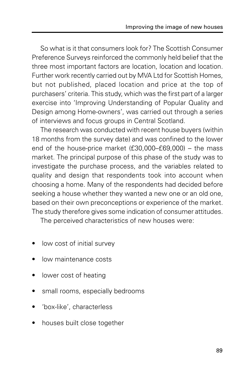So what is it that consumers look for? The Scottish Consumer Preference Surveys reinforced the commonly held belief that the three most important factors are location, location and location. Further work recently carried out by MVA Ltd for Scottish Homes, but not published, placed location and price at the top of purchasers' criteria. This study, which was the first part of a larger exercise into 'Improving Understanding of Popular Quality and Design among Home-owners', was carried out through a series of interviews and focus groups in Central Scotland.

The research was conducted with recent house buyers (within 18 months from the survey date) and was confined to the lower end of the house-price market (£30,000–£69,000) – the mass market. The principal purpose of this phase of the study was to investigate the purchase process, and the variables related to quality and design that respondents took into account when choosing a home. Many of the respondents had decided before seeking a house whether they wanted a new one or an old one, based on their own preconceptions or experience of the market. The study therefore gives some indication of consumer attitudes.

The perceived characteristics of new houses were:

- low cost of initial survey
- low maintenance costs
- lower cost of heating
- small rooms, especially bedrooms
- 'box-like', characterless
- houses built close together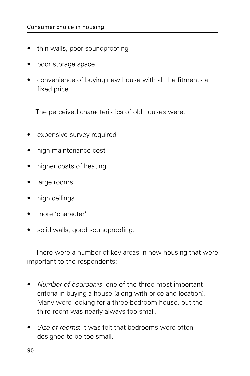- thin walls, poor soundproofing
- poor storage space
- convenience of buying new house with all the fitments at fixed price.

The perceived characteristics of old houses were:

- expensive survey required
- high maintenance cost
- higher costs of heating
- large rooms
- high ceilings
- more 'character'
- solid walls, good soundproofing.

There were a number of key areas in new housing that were important to the respondents:

- Number of bedrooms: one of the three most important criteria in buying a house (along with price and location). Many were looking for a three-bedroom house, but the third room was nearly always too small.
- Size of rooms: it was felt that bedrooms were often designed to be too small.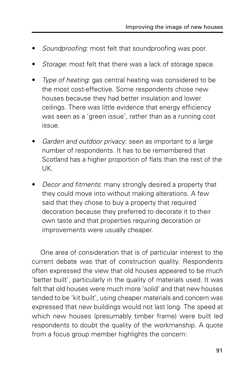- Soundproofing: most felt that soundproofing was poor.
- Storage: most felt that there was a lack of storage space.
- Type of heating: gas central heating was considered to be the most cost-effective. Some respondents chose new houses because they had better insulation and lower ceilings. There was little evidence that energy efficiency was seen as a 'green issue', rather than as a running cost issue.
- Garden and outdoor privacy: seen as important to a large number of respondents. It has to be remembered that Scotland has a higher proportion of flats than the rest of the UK.
- Decor and fitments: many strongly desired a property that they could move into without making alterations. A few said that they chose to buy a property that required decoration because they preferred to decorate it to their own taste and that properties requiring decoration or improvements were usually cheaper.

One area of consideration that is of particular interest to the current debate was that of construction quality. Respondents often expressed the view that old houses appeared to be much 'better built', particularly in the quality of materials used. It was felt that old houses were much more 'solid' and that new houses tended to be 'kit built', using cheaper materials and concern was expressed that new buildings would not last long. The speed at which new houses (presumably timber frame) were built led respondents to doubt the quality of the workmanship. A quote from a focus group member highlights the concern: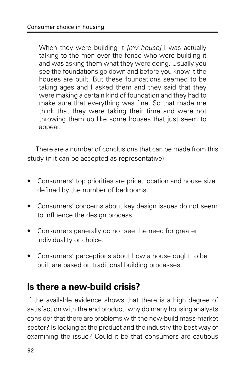When they were building it *[my house]* I was actually talking to the men over the fence who were building it and was asking them what they were doing. Usually you see the foundations go down and before you know it the houses are built. But these foundations seemed to be taking ages and I asked them and they said that they were making a certain kind of foundation and they had to make sure that everything was fine. So that made me think that they were taking their time and were not throwing them up like some houses that just seem to appear.

There are a number of conclusions that can be made from this study (if it can be accepted as representative):

- Consumers' top priorities are price, location and house size defined by the number of bedrooms.
- Consumers' concerns about key design issues do not seem to influence the design process.
- Consumers generally do not see the need for greater individuality or choice.
- Consumers' perceptions about how a house ought to be built are based on traditional building processes.

# **Is there a new-build crisis?**

If the available evidence shows that there is a high degree of satisfaction with the end product, why do many housing analysts consider that there are problems with the new-build mass-market sector? Is looking at the product and the industry the best way of examining the issue? Could it be that consumers are cautious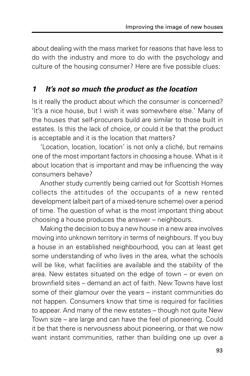about dealing with the mass market for reasons that have less to do with the industry and more to do with the psychology and culture of the housing consumer? Here are five possible clues:

#### **1 It's not so much the product as the location**

Is it really the product about which the consumer is concerned? 'It's a nice house, but I wish it was somewhere else.' Many of the houses that self-procurers build are similar to those built in estates. Is this the lack of choice, or could it be that the product is acceptable and it is the location that matters?

'Location, location, location' is not only a cliché, but remains one of the most important factors in choosing a house. What is it about location that is important and may be influencing the way consumers behave?

Another study currently being carried out for Scottish Homes collects the attitudes of the occupants of a new rented development (albeit part of a mixed-tenure scheme) over a period of time. The question of what is the most important thing about choosing a house produces the answer – neighbours.

Making the decision to buy a new house in a new area involves moving into unknown territory in terms of neighbours. If you buy a house in an established neighbourhood, you can at least get some understanding of who lives in the area, what the schools will be like, what facilities are available and the stability of the area. New estates situated on the edge of town – or even on brownfield sites – demand an act of faith. New Towns have lost some of their glamour over the years – instant communities do not happen. Consumers know that time is required for facilities to appear. And many of the new estates – though not quite New Town size – are large and can have the feel of pioneering. Could it be that there is nervousness about pioneering, or that we now want instant communities, rather than building one up over a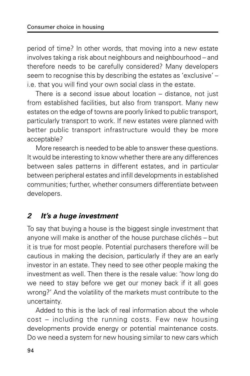period of time? In other words, that moving into a new estate involves taking a risk about neighbours and neighbourhood – and therefore needs to be carefully considered? Many developers seem to recognise this by describing the estates as 'exclusive' – i.e. that you will find your own social class in the estate.

There is a second issue about location – distance, not just from established facilities, but also from transport. Many new estates on the edge of towns are poorly linked to public transport, particularly transport to work. If new estates were planned with better public transport infrastructure would they be more acceptable?

More research is needed to be able to answer these questions. It would be interesting to know whether there are any differences between sales patterns in different estates, and in particular between peripheral estates and infill developments in established communities; further, whether consumers differentiate between developers.

#### **2 It's a huge investment**

To say that buying a house is the biggest single investment that anyone will make is another of the house purchase clichés – but it is true for most people. Potential purchasers therefore will be cautious in making the decision, particularly if they are an early investor in an estate. They need to see other people making the investment as well. Then there is the resale value: 'how long do we need to stay before we get our money back if it all goes wrong?' And the volatility of the markets must contribute to the uncertainty.

Added to this is the lack of real information about the whole cost – including the running costs. Few new housing developments provide energy or potential maintenance costs. Do we need a system for new housing similar to new cars which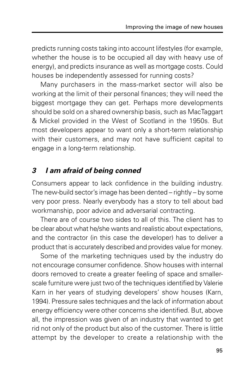predicts running costs taking into account lifestyles (for example, whether the house is to be occupied all day with heavy use of energy), and predicts insurance as well as mortgage costs. Could houses be independently assessed for running costs?

Many purchasers in the mass-market sector will also be working at the limit of their personal finances; they will need the biggest mortgage they can get. Perhaps more developments should be sold on a shared ownership basis, such as MacTaggart & Mickel provided in the West of Scotland in the 1950s. But most developers appear to want only a short-term relationship with their customers, and may not have sufficient capital to engage in a long-term relationship.

#### **3 I am afraid of being conned**

Consumers appear to lack confidence in the building industry. The new-build sector's image has been dented – rightly – by some very poor press. Nearly everybody has a story to tell about bad workmanship, poor advice and adversarial contracting.

There are of course two sides to all of this. The client has to be clear about what he/she wants and realistic about expectations, and the contractor (in this case the developer) has to deliver a product that is accurately described and provides value for money.

Some of the marketing techniques used by the industry do not encourage consumer confidence. Show houses with internal doors removed to create a greater feeling of space and smallerscale furniture were just two of the techniques identified by Valerie Karn in her years of studying developers' show houses (Karn, 1994). Pressure sales techniques and the lack of information about energy efficiency were other concerns she identified. But, above all, the impression was given of an industry that wanted to get rid not only of the product but also of the customer. There is little attempt by the developer to create a relationship with the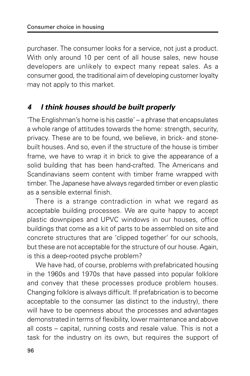purchaser. The consumer looks for a service, not just a product. With only around 10 per cent of all house sales, new house developers are unlikely to expect many repeat sales. As a consumer good, the traditional aim of developing customer loyalty may not apply to this market.

#### **4 I think houses should be built properly**

'The Englishman's home is his castle' – a phrase that encapsulates a whole range of attitudes towards the home: strength, security, privacy. These are to be found, we believe, in brick- and stonebuilt houses. And so, even if the structure of the house is timber frame, we have to wrap it in brick to give the appearance of a solid building that has been hand-crafted. The Americans and Scandinavians seem content with timber frame wrapped with timber. The Japanese have always regarded timber or even plastic as a sensible external finish.

There is a strange contradiction in what we regard as acceptable building processes. We are quite happy to accept plastic downpipes and UPVC windows in our houses, office buildings that come as a kit of parts to be assembled on site and concrete structures that are 'clipped together' for our schools, but these are not acceptable for the structure of our house. Again, is this a deep-rooted psyche problem?

We have had, of course, problems with prefabricated housing in the 1960s and 1970s that have passed into popular folklore and convey that these processes produce problem houses. Changing folklore is always difficult. If prefabrication is to become acceptable to the consumer (as distinct to the industry), there will have to be openness about the processes and advantages demonstrated in terms of flexibility, lower maintenance and above all costs – capital, running costs and resale value. This is not a task for the industry on its own, but requires the support of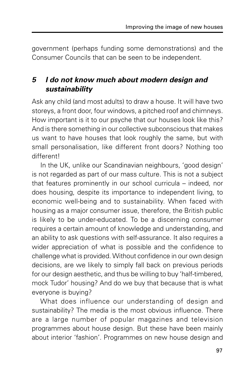government (perhaps funding some demonstrations) and the Consumer Councils that can be seen to be independent.

#### **5 I do not know much about modern design and sustainability**

Ask any child (and most adults) to draw a house. It will have two storeys, a front door, four windows, a pitched roof and chimneys. How important is it to our psyche that our houses look like this? And is there something in our collective subconscious that makes us want to have houses that look roughly the same, but with small personalisation, like different front doors? Nothing too different!

In the UK, unlike our Scandinavian neighbours, 'good design' is not regarded as part of our mass culture. This is not a subject that features prominently in our school curricula – indeed, nor does housing, despite its importance to independent living, to economic well-being and to sustainability. When faced with housing as a major consumer issue, therefore, the British public is likely to be under-educated. To be a discerning consumer requires a certain amount of knowledge and understanding, and an ability to ask questions with self-assurance. It also requires a wider appreciation of what is possible and the confidence to challenge what is provided. Without confidence in our own design decisions, are we likely to simply fall back on previous periods for our design aesthetic, and thus be willing to buy 'half-timbered, mock Tudor' housing? And do we buy that because that is what everyone is buying?

What does influence our understanding of design and sustainability? The media is the most obvious influence. There are a large number of popular magazines and television programmes about house design. But these have been mainly about interior 'fashion'. Programmes on new house design and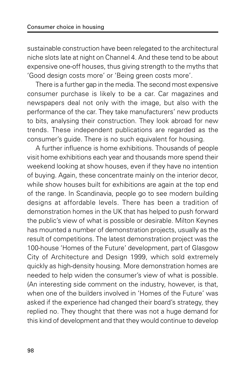sustainable construction have been relegated to the architectural niche slots late at night on Channel 4. And these tend to be about expensive one-off houses, thus giving strength to the myths that 'Good design costs more' or 'Being green costs more'.

There is a further gap in the media. The second most expensive consumer purchase is likely to be a car. Car magazines and newspapers deal not only with the image, but also with the performance of the car. They take manufacturers' new products to bits, analysing their construction. They look abroad for new trends. These independent publications are regarded as the consumer's guide. There is no such equivalent for housing.

A further influence is home exhibitions. Thousands of people visit home exhibitions each year and thousands more spend their weekend looking at show houses, even if they have no intention of buying. Again, these concentrate mainly on the interior decor, while show houses built for exhibitions are again at the top end of the range. In Scandinavia, people go to see modern building designs at affordable levels. There has been a tradition of demonstration homes in the UK that has helped to push forward the public's view of what is possible or desirable. Milton Keynes has mounted a number of demonstration projects, usually as the result of competitions. The latest demonstration project was the 100-house 'Homes of the Future' development, part of Glasgow City of Architecture and Design 1999, which sold extremely quickly as high-density housing. More demonstration homes are needed to help widen the consumer's view of what is possible. (An interesting side comment on the industry, however, is that, when one of the builders involved in 'Homes of the Future' was asked if the experience had changed their board's strategy, they replied no. They thought that there was not a huge demand for this kind of development and that they would continue to develop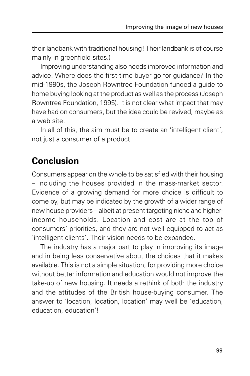their landbank with traditional housing! Their landbank is of course mainly in greenfield sites.)

Improving understanding also needs improved information and advice. Where does the first-time buyer go for guidance? In the mid-1990s, the Joseph Rowntree Foundation funded a guide to home buying looking at the product as well as the process (Joseph Rowntree Foundation, 1995). It is not clear what impact that may have had on consumers, but the idea could be revived, maybe as a web site.

In all of this, the aim must be to create an 'intelligent client', not just a consumer of a product.

## **Conclusion**

Consumers appear on the whole to be satisfied with their housing – including the houses provided in the mass-market sector. Evidence of a growing demand for more choice is difficult to come by, but may be indicated by the growth of a wider range of new house providers – albeit at present targeting niche and higherincome households. Location and cost are at the top of consumers' priorities, and they are not well equipped to act as 'intelligent clients'. Their vision needs to be expanded.

The industry has a major part to play in improving its image and in being less conservative about the choices that it makes available. This is not a simple situation, for providing more choice without better information and education would not improve the take-up of new housing. It needs a rethink of both the industry and the attitudes of the British house-buying consumer. The answer to 'location, location, location' may well be 'education, education, education'!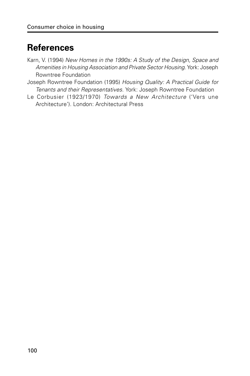### **References**

- Karn, V. (1994) New Homes in the 1990s: A Study of the Design, Space and Amenities in Housing Association and Private Sector Housing. York: Joseph Rowntree Foundation
- Joseph Rowntree Foundation (1995) Housing Quality: A Practical Guide for Tenants and their Representatives. York: Joseph Rowntree Foundation
- Le Corbusier (1923/1970) Towards a New Architecture ('Vers une Architecture'). London: Architectural Press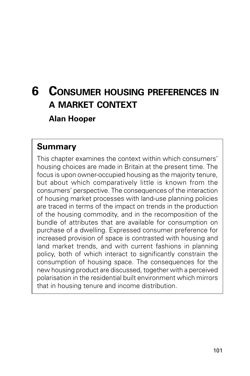## **6 CONSUMER HOUSING PREFERENCES IN A MARKET CONTEXT Alan Hooper**

#### **Summary**

This chapter examines the context within which consumers' housing choices are made in Britain at the present time. The focus is upon owner-occupied housing as the majority tenure, but about which comparatively little is known from the consumers' perspective. The consequences of the interaction of housing market processes with land-use planning policies are traced in terms of the impact on trends in the production of the housing commodity, and in the recomposition of the bundle of attributes that are available for consumption on purchase of a dwelling. Expressed consumer preference for increased provision of space is contrasted with housing and land market trends, and with current fashions in planning policy, both of which interact to significantly constrain the consumption of housing space. The consequences for the new housing product are discussed, together with a perceived polarisation in the residential built environment which mirrors that in housing tenure and income distribution.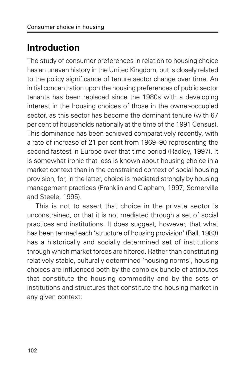## **Introduction**

The study of consumer preferences in relation to housing choice has an uneven history in the United Kingdom, but is closely related to the policy significance of tenure sector change over time. An initial concentration upon the housing preferences of public sector tenants has been replaced since the 1980s with a developing interest in the housing choices of those in the owner-occupied sector, as this sector has become the dominant tenure (with 67 per cent of households nationally at the time of the 1991 Census). This dominance has been achieved comparatively recently, with a rate of increase of 21 per cent from 1969–90 representing the second fastest in Europe over that time period (Radley, 1997). It is somewhat ironic that less is known about housing choice in a market context than in the constrained context of social housing provision, for, in the latter, choice is mediated strongly by housing management practices (Franklin and Clapham, 1997; Somerville and Steele, 1995).

This is not to assert that choice in the private sector is unconstrained, or that it is not mediated through a set of social practices and institutions. It does suggest, however, that what has been termed each 'structure of housing provision' (Ball, 1983) has a historically and socially determined set of institutions through which market forces are filtered. Rather than constituting relatively stable, culturally determined 'housing norms', housing choices are influenced both by the complex bundle of attributes that constitute the housing commodity and by the sets of institutions and structures that constitute the housing market in any given context: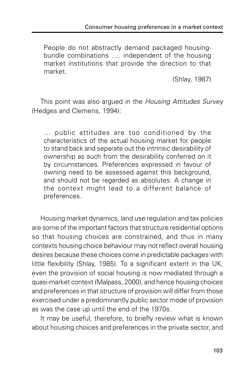People do not abstractly demand packaged housingbundle combinations …. independent of the housing market institutions that provide the direction to that market.

(Shlay, 1987)

This point was also argued in the Housing Attitudes Survey (Hedges and Clemens, 1994):

… public attitudes are too conditioned by the characteristics of the actual housing market for people to stand back and separate out the intrinsic desirability of ownership as such from the desirability conferred on it by circumstances. Preferences expressed in favour of owning need to be assessed against this background, and should not be regarded as absolutes. A change in the context might lead to a different balance of preferences.

Housing market dynamics, land use regulation and tax policies are some of the important factors that structure residential options so that housing choices are constrained, and thus in many contexts housing choice behaviour may not reflect overall housing desires because these choices come in predictable packages with little flexibility (Shlay, 1985). To a significant extent in the UK, even the provision of social housing is now mediated through a quasi-market context (Malpass, 2000), and hence housing choices and preferences in that structure of provision will differ from those exercised under a predominantly public sector mode of provision as was the case up until the end of the 1970s.

It may be useful, therefore, to briefly review what is known about housing choices and preferences in the private sector, and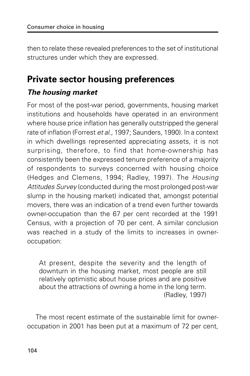then to relate these revealed preferences to the set of institutional structures under which they are expressed.

# **Private sector housing preferences**

#### **The housing market**

For most of the post-war period, governments, housing market institutions and households have operated in an environment where house price inflation has generally outstripped the general rate of inflation (Forrest et al., 1997; Saunders, 1990). In a context in which dwellings represented appreciating assets, it is not surprising, therefore, to find that home-ownership has consistently been the expressed tenure preference of a majority of respondents to surveys concerned with housing choice (Hedges and Clemens, 1994; Radley, 1997). The Housing Attitudes Survey (conducted during the most prolonged post-war slump in the housing market) indicated that, amongst potential movers, there was an indication of a trend even further towards owner-occupation than the 67 per cent recorded at the 1991 Census, with a projection of 70 per cent. A similar conclusion was reached in a study of the limits to increases in owneroccupation:

At present, despite the severity and the length of downturn in the housing market, most people are still relatively optimistic about house prices and are positive about the attractions of owning a home in the long term. (Radley, 1997)

The most recent estimate of the sustainable limit for owneroccupation in 2001 has been put at a maximum of 72 per cent,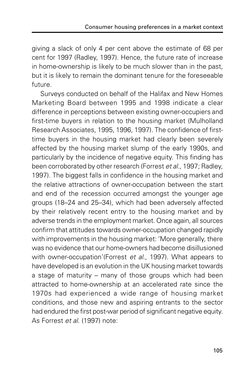giving a slack of only 4 per cent above the estimate of 68 per cent for 1997 (Radley, 1997). Hence, the future rate of increase in home-ownership is likely to be much slower than in the past, but it is likely to remain the dominant tenure for the foreseeable future.

Surveys conducted on behalf of the Halifax and New Homes Marketing Board between 1995 and 1998 indicate a clear difference in perceptions between existing owner-occupiers and first-time buyers in relation to the housing market (Mulholland Research Associates, 1995, 1996, 1997). The confidence of firsttime buyers in the housing market had clearly been severely affected by the housing market slump of the early 1990s, and particularly by the incidence of negative equity. This finding has been corroborated by other research (Forrest et al., 1997; Radley, 1997). The biggest falls in confidence in the housing market and the relative attractions of owner-occupation between the start and end of the recession occurred amongst the younger age groups (18–24 and 25–34), which had been adversely affected by their relatively recent entry to the housing market and by adverse trends in the employment market. Once again, all sources confirm that attitudes towards owner-occupation changed rapidly with improvements in the housing market: 'More generally, there was no evidence that our home-owners had become disillusioned with owner-occupation'(Forrest et al., 1997). What appears to have developed is an evolution in the UK housing market towards a stage of maturity – many of those groups which had been attracted to home-ownership at an accelerated rate since the 1970s had experienced a wide range of housing market conditions, and those new and aspiring entrants to the sector had endured the first post-war period of significant negative equity. As Forrest et al. (1997) note: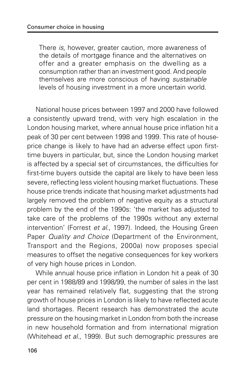There is, however, greater caution, more awareness of the details of mortgage finance and the alternatives on offer and a greater emphasis on the dwelling as a consumption rather than an investment good. And people themselves are more conscious of having sustainable levels of housing investment in a more uncertain world.

National house prices between 1997 and 2000 have followed a consistently upward trend, with very high escalation in the London housing market, where annual house price inflation hit a peak of 30 per cent between 1998 and 1999. This rate of houseprice change is likely to have had an adverse effect upon firsttime buyers in particular, but, since the London housing market is affected by a special set of circumstances, the difficulties for first-time buyers outside the capital are likely to have been less severe, reflecting less violent housing market fluctuations. These house price trends indicate that housing market adjustments had largely removed the problem of negative equity as a structural problem by the end of the 1990s: 'the market has adjusted to take care of the problems of the 1990s without any external intervention' (Forrest et al., 1997). Indeed, the Housing Green Paper Quality and Choice (Department of the Environment, Transport and the Regions, 2000a) now proposes special measures to offset the negative consequences for key workers of very high house prices in London.

While annual house price inflation in London hit a peak of 30 per cent in 1988/89 and 1998/99, the number of sales in the last year has remained relatively flat, suggesting that the strong growth of house prices in London is likely to have reflected acute land shortages. Recent research has demonstrated the acute pressure on the housing market in London from both the increase in new household formation and from international migration (Whitehead et al., 1999). But such demographic pressures are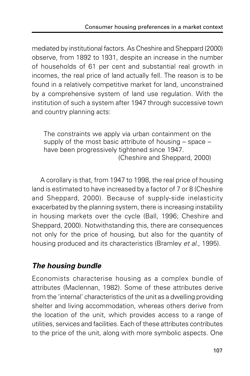mediated by institutional factors. As Cheshire and Sheppard (2000) observe, from 1892 to 1931, despite an increase in the number of households of 61 per cent and substantial real growth in incomes, the real price of land actually fell. The reason is to be found in a relatively competitive market for land, unconstrained by a comprehensive system of land use regulation. With the institution of such a system after 1947 through successive town and country planning acts:

The constraints we apply via urban containment on the supply of the most basic attribute of housing – space – have been progressively tightened since 1947. (Cheshire and Sheppard, 2000)

A corollary is that, from 1947 to 1998, the real price of housing land is estimated to have increased by a factor of 7 or 8 (Cheshire and Sheppard, 2000). Because of supply-side inelasticity exacerbated by the planning system, there is increasing instability in housing markets over the cycle (Ball, 1996; Cheshire and Sheppard, 2000). Notwithstanding this, there are consequences not only for the price of housing, but also for the quantity of housing produced and its characteristics (Bramley et al., 1995).

#### **The housing bundle**

Economists characterise housing as a complex bundle of attributes (Maclennan, 1982). Some of these attributes derive from the 'internal' characteristics of the unit as a dwelling providing shelter and living accommodation, whereas others derive from the location of the unit, which provides access to a range of utilities, services and facilities. Each of these attributes contributes to the price of the unit, along with more symbolic aspects. One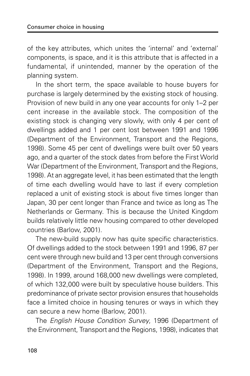of the key attributes, which unites the 'internal' and 'external' components, is space, and it is this attribute that is affected in a fundamental, if unintended, manner by the operation of the planning system.

In the short term, the space available to house buyers for purchase is largely determined by the existing stock of housing. Provision of new build in any one year accounts for only 1–2 per cent increase in the available stock. The composition of the existing stock is changing very slowly, with only 4 per cent of dwellings added and 1 per cent lost between 1991 and 1996 (Department of the Environment, Transport and the Regions, 1998). Some 45 per cent of dwellings were built over 50 years ago, and a quarter of the stock dates from before the First World War (Department of the Environment, Transport and the Regions, 1998). At an aggregate level, it has been estimated that the length of time each dwelling would have to last if every completion replaced a unit of existing stock is about five times longer than Japan, 30 per cent longer than France and twice as long as The Netherlands or Germany. This is because the United Kingdom builds relatively little new housing compared to other developed countries (Barlow, 2001).

The new-build supply now has quite specific characteristics. Of dwellings added to the stock between 1991 and 1996, 87 per cent were through new build and 13 per cent through conversions (Department of the Environment, Transport and the Regions, 1998). In 1999, around 168,000 new dwellings were completed, of which 132,000 were built by speculative house builders. This predominance of private sector provision ensures that households face a limited choice in housing tenures or ways in which they can secure a new home (Barlow, 2001).

The English House Condition Survey, 1996 (Department of the Environment, Transport and the Regions, 1998), indicates that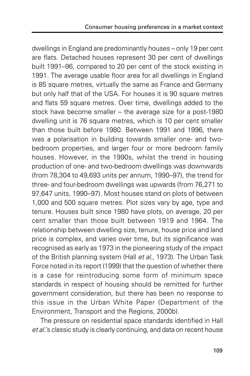dwellings in England are predominantly houses – only 19 per cent are flats. Detached houses represent 30 per cent of dwellings built 1991–96, compared to 20 per cent of the stock existing in 1991. The average usable floor area for all dwellings in England is 85 square metres, virtually the same as France and Germany but only half that of the USA. For houses it is 90 square metres and flats 59 square metres. Over time, dwellings added to the stock have become smaller – the average size for a post-1980 dwelling unit is 76 square metres, which is 10 per cent smaller than those built before 1980. Between 1991 and 1996, there was a polarisation in building towards smaller one- and twobedroom properties, and larger four or more bedroom family houses. However, in the 1990s, whilst the trend in housing production of one- and two-bedroom dwellings was downwards (from 78,304 to 49,693 units per annum, 1990–97), the trend for three- and four-bedroom dwellings was upwards (from 76,271 to 97,647 units, 1990–97). Most houses stand on plots of between 1,000 and 500 square metres. Plot sizes vary by age, type and tenure. Houses built since 1980 have plots, on average, 20 per cent smaller than those built between 1919 and 1964. The relationship between dwelling size, tenure, house price and land price is complex, and varies over time, but its significance was recognised as early as 1973 in the pioneering study of the impact of the British planning system (Hall et al., 1973). The Urban Task Force noted in its report (1999) that the question of whether there is a case for reintroducing some form of minimum space standards in respect of housing should be remitted for further government consideration, but there has been no response to this issue in the Urban White Paper (Department of the Environment, Transport and the Regions, 2000b).

The pressure on residential space standards identified in Hall et al.'s classic study is clearly continuing, and data on recent house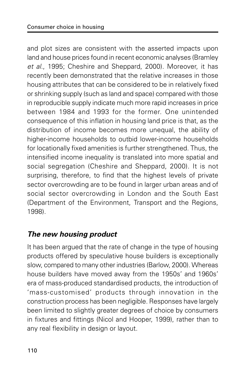and plot sizes are consistent with the asserted impacts upon land and house prices found in recent economic analyses (Bramley et al., 1995; Cheshire and Sheppard, 2000). Moreover, it has recently been demonstrated that the relative increases in those housing attributes that can be considered to be in relatively fixed or shrinking supply (such as land and space) compared with those in reproducible supply indicate much more rapid increases in price between 1984 and 1993 for the former. One unintended consequence of this inflation in housing land price is that, as the distribution of income becomes more unequal, the ability of higher-income households to outbid lower-income households for locationally fixed amenities is further strengthened. Thus, the intensified income inequality is translated into more spatial and social segregation (Cheshire and Sheppard, 2000). It is not surprising, therefore, to find that the highest levels of private sector overcrowding are to be found in larger urban areas and of social sector overcrowding in London and the South East (Department of the Environment, Transport and the Regions, 1998).

#### **The new housing product**

It has been argued that the rate of change in the type of housing products offered by speculative house builders is exceptionally slow, compared to many other industries (Barlow, 2000). Whereas house builders have moved away from the 1950s' and 1960s' era of mass-produced standardised products, the introduction of 'mass-customised' products through innovation in the construction process has been negligible. Responses have largely been limited to slightly greater degrees of choice by consumers in fixtures and fittings (Nicol and Hooper, 1999), rather than to any real flexibility in design or layout.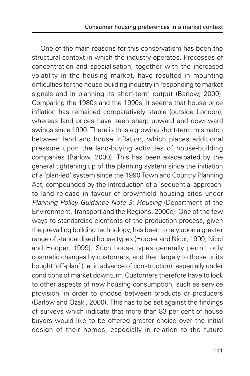One of the main reasons for this conservatism has been the structural context in which the industry operates. Processes of concentration and specialisation, together with the increased volatility in the housing market, have resulted in mounting difficulties for the house-building industry in responding to market signals and in planning its short-term output (Barlow, 2000). Comparing the 1980s and the 1990s, it seems that house price inflation has remained comparatively stable (outside London), whereas land prices have seen sharp upward and downward swings since 1990. There is thus a growing short-term mismatch between land and house inflation, which places additional pressure upon the land-buying activities of house-building companies (Barlow, 2000). This has been exacerbated by the general tightening up of the planning system since the initiation of a 'plan-led' system since the 1990 Town and Country Planning Act, compounded by the introduction of a 'sequential approach' to land release in favour of brownfield housing sites under Planning Policy Guidance Note 3: Housing (Department of the Environment, Transport and the Regions, 2000c). One of the few ways to standardise elements of the production process, given the prevailing building technology, has been to rely upon a greater range of standardised house types (Hooper and Nicol, 1999; Nicol and Hooper, 1999). Such house types generally permit only cosmetic changes by customers, and then largely to those units bought 'off-plan' (i.e. in advance of construction), especially under conditions of market downturn. Customers therefore have to look to other aspects of new housing consumption, such as service provision, in order to choose between products or producers (Barlow and Ozaki, 2000). This has to be set against the findings of surveys which indicate that more than 83 per cent of house buyers would like to be offered greater choice over the initial design of their homes, especially in relation to the future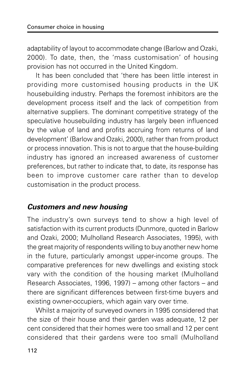adaptability of layout to accommodate change (Barlow and Ozaki, 2000). To date, then, the 'mass customisation' of housing provision has not occurred in the United Kingdom.

It has been concluded that 'there has been little interest in providing more customised housing products in the UK housebuilding industry. Perhaps the foremost inhibitors are the development process itself and the lack of competition from alternative suppliers. The dominant competitive strategy of the speculative housebuilding industry has largely been influenced by the value of land and profits accruing from returns of land development' (Barlow and Ozaki, 2000), rather than from product or process innovation. This is not to argue that the house-building industry has ignored an increased awareness of customer preferences, but rather to indicate that, to date, its response has been to improve customer care rather than to develop customisation in the product process.

#### **Customers and new housing**

The industry's own surveys tend to show a high level of satisfaction with its current products (Dunmore, quoted in Barlow and Ozaki, 2000; Mulholland Research Associates, 1995), with the great majority of respondents willing to buy another new home in the future, particularly amongst upper-income groups. The comparative preferences for new dwellings and existing stock vary with the condition of the housing market (Mulholland Research Associates, 1996, 1997) – among other factors – and there are significant differences between first-time buyers and existing owner-occupiers, which again vary over time.

Whilst a majority of surveyed owners in 1995 considered that the size of their house and their garden was adequate, 12 per cent considered that their homes were too small and 12 per cent considered that their gardens were too small (Mulholland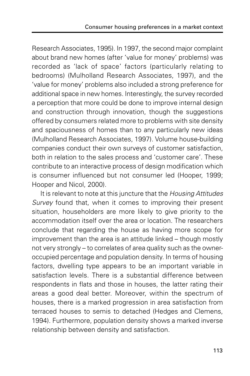Research Associates, 1995). In 1997, the second major complaint about brand new homes (after 'value for money' problems) was recorded as 'lack of space' factors (particularly relating to bedrooms) (Mulholland Research Associates, 1997), and the 'value for money' problems also included a strong preference for additional space in new homes. Interestingly, the survey recorded a perception that more could be done to improve internal design and construction through innovation, though the suggestions offered by consumers related more to problems with site density and spaciousness of homes than to any particularly new ideas (Mulholland Research Associates, 1997). Volume house-building companies conduct their own surveys of customer satisfaction, both in relation to the sales process and 'customer care'. These contribute to an interactive process of design modification which is consumer influenced but not consumer led (Hooper, 1999; Hooper and Nicol, 2000).

It is relevant to note at this juncture that the Housing Attitudes Survey found that, when it comes to improving their present situation, householders are more likely to give priority to the accommodation itself over the area or location. The researchers conclude that regarding the house as having more scope for improvement than the area is an attitude linked – though mostly not very strongly – to correlates of area quality such as the owneroccupied percentage and population density. In terms of housing factors, dwelling type appears to be an important variable in satisfaction levels. There is a substantial difference between respondents in flats and those in houses, the latter rating their areas a good deal better. Moreover, within the spectrum of houses, there is a marked progression in area satisfaction from terraced houses to semis to detached (Hedges and Clemens, 1994). Furthermore, population density shows a marked inverse relationship between density and satisfaction.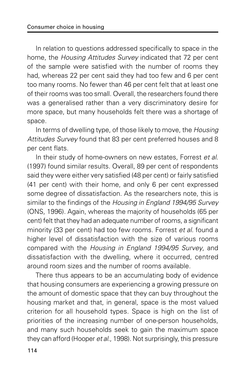In relation to questions addressed specifically to space in the home, the Housing Attitudes Survey indicated that 72 per cent of the sample were satisfied with the number of rooms they had, whereas 22 per cent said they had too few and 6 per cent too many rooms. No fewer than 46 per cent felt that at least one of their rooms was too small. Overall, the researchers found there was a generalised rather than a very discriminatory desire for more space, but many households felt there was a shortage of space.

In terms of dwelling type, of those likely to move, the Housing Attitudes Survey found that 83 per cent preferred houses and 8 per cent flats.

In their study of home-owners on new estates, Forrest et al. (1997) found similar results. Overall, 89 per cent of respondents said they were either very satisfied (48 per cent) or fairly satisfied (41 per cent) with their home, and only 6 per cent expressed some degree of dissatisfaction. As the researchers note, this is similar to the findings of the Housing in England 1994/95 Survey (ONS, 1996). Again, whereas the majority of households (65 per cent) felt that they had an adequate number of rooms, a significant minority (33 per cent) had too few rooms. Forrest et al. found a higher level of dissatisfaction with the size of various rooms compared with the Housing in England 1994/95 Survey, and dissatisfaction with the dwelling, where it occurred, centred around room sizes and the number of rooms available.

There thus appears to be an accumulating body of evidence that housing consumers are experiencing a growing pressure on the amount of domestic space that they can buy throughout the housing market and that, in general, space is the most valued criterion for all household types. Space is high on the list of priorities of the increasing number of one-person households, and many such households seek to gain the maximum space they can afford (Hooper et al., 1998). Not surprisingly, this pressure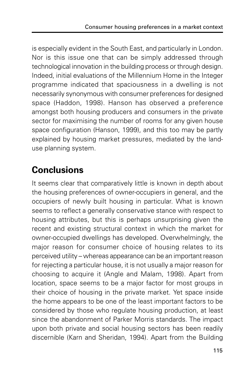is especially evident in the South East, and particularly in London. Nor is this issue one that can be simply addressed through technological innovation in the building process or through design. Indeed, initial evaluations of the Millennium Home in the Integer programme indicated that spaciousness in a dwelling is not necessarily synonymous with consumer preferences for designed space (Haddon, 1998). Hanson has observed a preference amongst both housing producers and consumers in the private sector for maximising the number of rooms for any given house space configuration (Hanson, 1999), and this too may be partly explained by housing market pressures, mediated by the landuse planning system.

## **Conclusions**

It seems clear that comparatively little is known in depth about the housing preferences of owner-occupiers in general, and the occupiers of newly built housing in particular. What is known seems to reflect a generally conservative stance with respect to housing attributes, but this is perhaps unsurprising given the recent and existing structural context in which the market for owner-occupied dwellings has developed. Overwhelmingly, the major reason for consumer choice of housing relates to its perceived utility – whereas appearance can be an important reason for rejecting a particular house, it is not usually a major reason for choosing to acquire it (Angle and Malam, 1998). Apart from location, space seems to be a major factor for most groups in their choice of housing in the private market. Yet space inside the home appears to be one of the least important factors to be considered by those who regulate housing production, at least since the abandonment of Parker Morris standards. The impact upon both private and social housing sectors has been readily discernible (Karn and Sheridan, 1994). Apart from the Building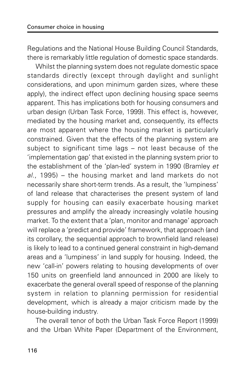Regulations and the National House Building Council Standards, there is remarkably little regulation of domestic space standards.

Whilst the planning system does not regulate domestic space standards directly (except through daylight and sunlight considerations, and upon minimum garden sizes, where these apply), the indirect effect upon declining housing space seems apparent. This has implications both for housing consumers and urban design (Urban Task Force, 1999). This effect is, however, mediated by the housing market and, consequently, its effects are most apparent where the housing market is particularly constrained. Given that the effects of the planning system are subject to significant time lags – not least because of the 'implementation gap' that existed in the planning system prior to the establishment of the 'plan-led' system in 1990 (Bramley et  $al.$ , 1995) – the housing market and land markets do not necessarily share short-term trends. As a result, the 'lumpiness' of land release that characterises the present system of land supply for housing can easily exacerbate housing market pressures and amplify the already increasingly volatile housing market. To the extent that a 'plan, monitor and manage' approach will replace a 'predict and provide' framework, that approach (and its corollary, the sequential approach to brownfield land release) is likely to lead to a continued general constraint in high-demand areas and a 'lumpiness' in land supply for housing. Indeed, the new 'call-in' powers relating to housing developments of over 150 units on greenfield land announced in 2000 are likely to exacerbate the general overall speed of response of the planning system in relation to planning permission for residential development, which is already a major criticism made by the house-building industry.

The overall tenor of both the Urban Task Force Report (1999) and the Urban White Paper (Department of the Environment,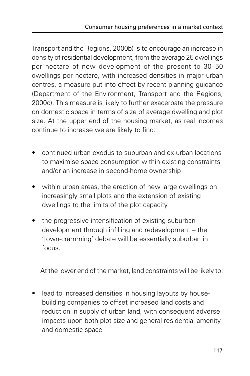Transport and the Regions, 2000b) is to encourage an increase in density of residential development, from the average 25 dwellings per hectare of new development of the present to 30–50 dwellings per hectare, with increased densities in major urban centres, a measure put into effect by recent planning guidance (Department of the Environment, Transport and the Regions, 2000c). This measure is likely to further exacerbate the pressure on domestic space in terms of size of average dwelling and plot size. At the upper end of the housing market, as real incomes continue to increase we are likely to find:

- continued urban exodus to suburban and ex-urban locations to maximise space consumption within existing constraints and/or an increase in second-home ownership
- within urban areas, the erection of new large dwellings on increasingly small plots and the extension of existing dwellings to the limits of the plot capacity
- the progressive intensification of existing suburban development through infilling and redevelopment – the 'town-cramming' debate will be essentially suburban in focus.

At the lower end of the market, land constraints will be likely to:

lead to increased densities in housing layouts by housebuilding companies to offset increased land costs and reduction in supply of urban land, with consequent adverse impacts upon both plot size and general residential amenity and domestic space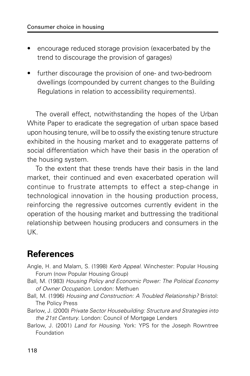- encourage reduced storage provision (exacerbated by the trend to discourage the provision of garages)
- further discourage the provision of one- and two-bedroom dwellings (compounded by current changes to the Building Regulations in relation to accessibility requirements).

The overall effect, notwithstanding the hopes of the Urban White Paper to eradicate the segregation of urban space based upon housing tenure, will be to ossify the existing tenure structure exhibited in the housing market and to exaggerate patterns of social differentiation which have their basis in the operation of the housing system.

To the extent that these trends have their basis in the land market, their continued and even exacerbated operation will continue to frustrate attempts to effect a step-change in technological innovation in the housing production process, reinforcing the regressive outcomes currently evident in the operation of the housing market and buttressing the traditional relationship between housing producers and consumers in the UK.

## **References**

- Angle, H. and Malam, S. (1998) Kerb Appeal. Winchester: Popular Housing Forum (now Popular Housing Group)
- Ball, M. (1983) Housing Policy and Economic Power: The Political Economy of Owner Occupation. London: Methuen
- Ball, M. (1996) Housing and Construction: A Troubled Relationship? Bristol: The Policy Press
- Barlow, J. (2000) Private Sector Housebuilding: Structure and Strategies into the 21st Century. London: Council of Mortgage Lenders
- Barlow, J. (2001) Land for Housing. York: YPS for the Joseph Rowntree Foundation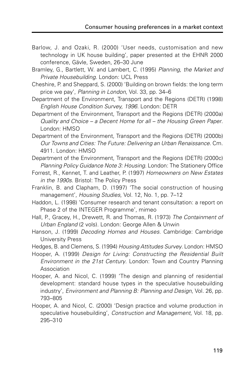- Barlow, J. and Ozaki, R. (2000) 'User needs, customisation and new technology in UK house building', paper presented at the EHNR 2000 conference, Gävle, Sweden, 26–30 June
- Bramley, G., Bartlett, W. and Lambert, C. (1995) Planning, the Market and Private Housebuilding. London: UCL Press
- Cheshire, P. and Sheppard, S. (2000) 'Building on brown fields: the long term price we pay', Planning in London, Vol. 33, pp. 34–6
- Department of the Environment, Transport and the Regions (DETR) (1998) English House Condition Survey, 1996. London: DETR
- Department of the Environment, Transport and the Regions (DETR) (2000a) Quality and Choice – a Decent Home for all – the Housing Green Paper. London: HMSO
- Department of the Environment, Transport and the Regions (DETR) (2000b) Our Towns and Cities: The Future: Delivering an Urban Renaissance. Cm. 4911. London: HMSO
- Department of the Environment, Transport and the Regions (DETR) (2000c) Planning Policy Guidance Note 3: Housing. London: The Stationery Office
- Forrest, R., Kennet, T. and Leather, P. (1997) Homeowners on New Estates in the 1990s. Bristol: The Policy Press
- Franklin, B. and Clapham, D. (1997) 'The social construction of housing management', Housing Studies, Vol. 12, No. 1, pp. 7-12
- Haddon, L. (1998) 'Consumer research and tenant consultation: a report on Phase 2 of the INTEGER Programme', mimeo
- Hall, P., Gracey, H., Drewett, R. and Thomas, R. (1973) The Containment of Urban England (2 vols). London: George Allen & Unwin
- Hanson, J. (1999) Decoding Homes and Houses. Cambridge: Cambridge University Press
- Hedges, B. and Clemens, S. (1994) Housing Attitudes Survey. London: HMSO
- Hooper, A. (1999) Design for Living: Constructing the Residential Built Environment in the 21st Century. London: Town and Country Planning Association
- Hooper, A. and Nicol, C. (1999) 'The design and planning of residential development: standard house types in the speculative housebuilding industry', Environment and Planning B: Planning and Design, Vol. 26, pp. 793–805
- Hooper, A. and Nicol, C. (2000) 'Design practice and volume production in speculative housebuilding', Construction and Management, Vol. 18, pp. 295–310